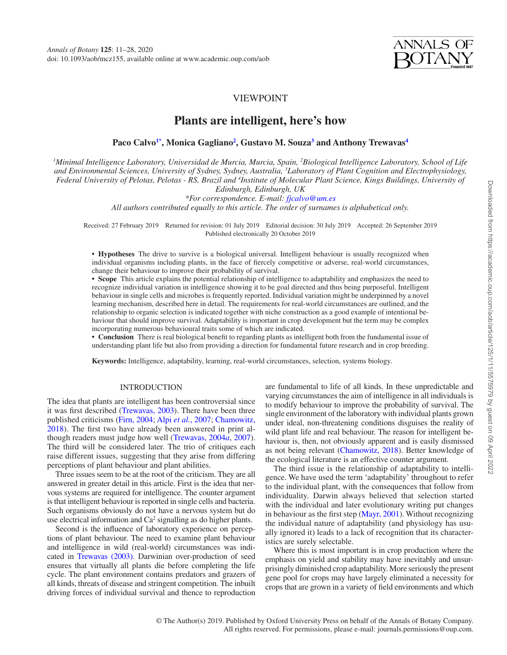

# VIEWPOINT

# **Plants are intelligent, here's how**

**Paco Calv[o1\\*](#page-0-0), Monica Gagliano[2](#page-0-1) , Gustavo M. Souz[a3](#page-0-2) and Anthony Trewavas[4](#page-0-3)**

<span id="page-0-3"></span><span id="page-0-2"></span><span id="page-0-1"></span><span id="page-0-0"></span>*1 Minimal Intelligence Laboratory, Universidad de Murcia, Murcia, Spain, 2 Biological Intelligence Laboratory, School of Life and Environmental Sciences, University of Sydney, Sydney, Australia, 3 Laboratory of Plant Cognition and Electrophysiology,*  Federal University of Pelotas, Pelotas - RS, Brazil and <sup>4</sup>Institute of Molecular Plant Science, Kings Buildings, University of *Edinburgh, Edinburgh, UK*

*\*For correspondence. E-mail: [fjcalvo@um.es](mailto:fjcalvo@um.es?subject=)*

*All authors contributed equally to this article. The order of surnames is alphabetical only.*

Received: 27 February 2019 Returned for revision: 01 July 2019 Editorial decision: 30 July 2019 Accepted: 26 September 2019 Published electronically 20 October 2019

**• Hypotheses** The drive to survive is a biological universal. Intelligent behaviour is usually recognized when individual organisms including plants, in the face of fiercely competitive or adverse, real-world circumstances, change their behaviour to improve their probability of survival.

**• Scope** This article explains the potential relationship of intelligence to adaptability and emphasizes the need to recognize individual variation in intelligence showing it to be goal directed and thus being purposeful. Intelligent behaviour in single cells and microbes is frequently reported. Individual variation might be underpinned by a novel learning mechanism, described here in detail. The requirements for real-world circumstances are outlined, and the relationship to organic selection is indicated together with niche construction as a good example of intentional behaviour that should improve survival. Adaptability is important in crop development but the term may be complex incorporating numerous behavioural traits some of which are indicated.

**• Conclusion** There is real biological benefit to regarding plants as intelligent both from the fundamental issue of understanding plant life but also from providing a direction for fundamental future research and in crop breeding.

**Keywords:** Intelligence, adaptability, learning, real-world circumstances, selection, systems biology.

#### INTRODUCTION

The idea that plants are intelligent has been controversial since it was first described [\(Trewavas, 2003](#page-17-0)). There have been three published criticisms [\(Firn, 2004;](#page-15-0) Alpi *et al.*[, 2007;](#page-14-0) [Chamowitz,](#page-14-1) [2018](#page-14-1)). The first two have already been answered in print although readers must judge how well [\(Trewavas, 2004](#page-17-1)*a*, [2007\)](#page-17-2). The third will be considered later. The trio of critiques each raise different issues, suggesting that they arise from differing perceptions of plant behaviour and plant abilities.

Three issues seem to be at the root of the criticism. They are all answered in greater detail in this article. First is the idea that nervous systems are required for intelligence. The counter argument is that intelligent behaviour is reported in single cells and bacteria. Such organisms obviously do not have a nervous system but do use electrical information and  $Ca^2$  signalling as do higher plants.

Second is the influence of laboratory experience on perceptions of plant behaviour. The need to examine plant behaviour and intelligence in wild (real-world) circumstances was indicated in [Trewavas \(2003\)](#page-17-0). Darwinian over-production of seed ensures that virtually all plants die before completing the life cycle. The plant environment contains predators and grazers of all kinds, threats of disease and stringent competition. The inbuilt driving forces of individual survival and thence to reproduction are fundamental to life of all kinds. In these unpredictable and varying circumstances the aim of intelligence in all individuals is to modify behaviour to improve the probability of survival. The single environment of the laboratory with individual plants grown under ideal, non-threatening conditions disguises the reality of wild plant life and real behaviour. The reason for intelligent behaviour is, then, not obviously apparent and is easily dismissed as not being relevant ([Chamowitz, 2018](#page-14-1)). Better knowledge of the ecological literature is an effective counter argument.

The third issue is the relationship of adaptability to intelligence. We have used the term 'adaptability' throughout to refer to the individual plant, with the consequences that follow from individuality. Darwin always believed that selection started with the individual and later evolutionary writing put changes in behaviour as the first step ([Mayr, 2001\)](#page-16-0). Without recognizing the individual nature of adaptability (and physiology has usually ignored it) leads to a lack of recognition that its characteristics are surely selectable.

Where this is most important is in crop production where the emphasis on yield and stability may have inevitably and unsurprisingly diminished crop adaptability. More seriously the present gene pool for crops may have largely eliminated a necessity for crops that are grown in a variety of field environments and which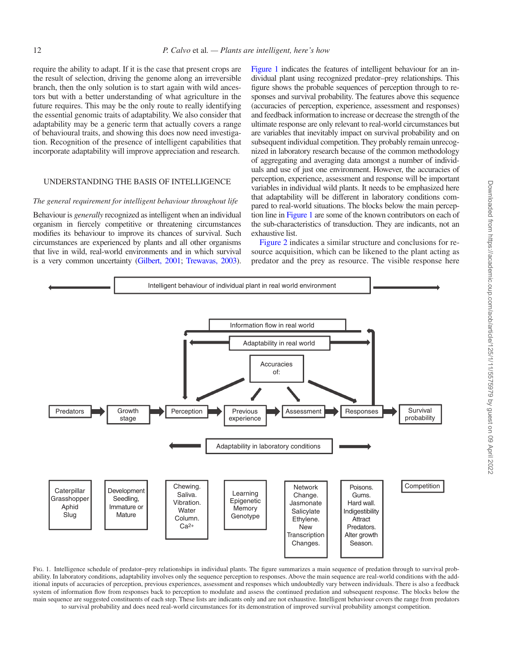require the ability to adapt. If it is the case that present crops are the result of selection, driving the genome along an irreversible branch, then the only solution is to start again with wild ancestors but with a better understanding of what agriculture in the future requires. This may be the only route to really identifying the essential genomic traits of adaptability. We also consider that adaptability may be a generic term that actually covers a range of behavioural traits, and showing this does now need investigation. Recognition of the presence of intelligent capabilities that incorporate adaptability will improve appreciation and research.

### UNDERSTANDING THE BASIS OF INTELLIGENCE

#### *The general requirement for intelligent behaviour throughout life*

Behaviour is *generally* recognized as intelligent when an individual organism in fiercely competitive or threatening circumstances modifies its behaviour to improve its chances of survival. Such circumstances are experienced by plants and all other organisms that live in wild, real-world environments and in which survival is a very common uncertainty [\(Gilbert, 2001](#page-15-1); [Trewavas, 2003\)](#page-17-0). [Figure 1](#page-1-0) indicates the features of intelligent behaviour for an individual plant using recognized predator–prey relationships. This figure shows the probable sequences of perception through to responses and survival probability. The features above this sequence (accuracies of perception, experience, assessment and responses) and feedback information to increase or decrease the strength of the ultimate response are only relevant to real-world circumstances but are variables that inevitably impact on survival probability and on subsequent individual competition. They probably remain unrecognized in laboratory research because of the common methodology of aggregating and averaging data amongst a number of individuals and use of just one environment. However, the accuracies of perception, experience, assessment and response will be important variables in individual wild plants. It needs to be emphasized here that adaptability will be different in laboratory conditions compared to real-world situations. The blocks below the main perception line in [Figure 1](#page-1-0) are some of the known contributors on each of the sub-characteristics of transduction. They are indicants, not an exhaustive list.

[Figure 2](#page-2-0) indicates a similar structure and conclusions for resource acquisition, which can be likened to the plant acting as predator and the prey as resource. The visible response here



<span id="page-1-0"></span>Fig. 1. Intelligence schedule of predator-prey relationships in individual plants. The figure summarizes a main sequence of predation through to survival probability. In laboratory conditions, adaptability involves only the sequence perception to responses. Above the main sequence are real-world conditions with the additional inputs of accuracies of perception, previous experiences, assessment and responses which undoubtedly vary between individuals. There is also a feedback system of information flow from responses back to perception to modulate and assess the continued predation and subsequent response. The blocks below the main sequence are suggested constituents of each step. These lists are indicants only and are not exhaustive. Intelligent behaviour covers the range from predators to survival probability and does need real-world circumstances for its demonstration of improved survival probability amongst competition.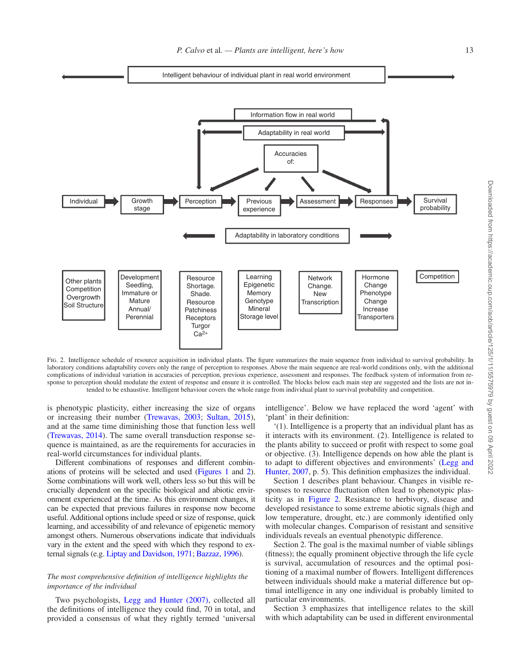

<span id="page-2-0"></span>FIG. 2. Intelligence schedule of resource acquisition in individual plants. The figure summarizes the main sequence from individual to survival probability. In laboratory conditions adaptability covers only the range of perception to responses. Above the main sequence are real-world conditions only, with the additional complications of individual variation in accuracies of perception, previous experience, assessment and responses. The feedback system of information from response to perception should modulate the extent of response and ensure it is controlled. The blocks below each main step are suggested and the lists are not intended to be exhaustive. Intelligent behaviour covers the whole range from individual plant to survival probability and competition.

is phenotypic plasticity, either increasing the size of organs or increasing their number [\(Trewavas, 2003](#page-17-0); [Sultan, 2015\)](#page-17-3), and at the same time diminishing those that function less well [\(Trewavas, 2014\)](#page-17-4). The same overall transduction response sequence is maintained, as are the requirements for accuracies in real-world circumstances for individual plants.

Different combinations of responses and different combinations of proteins will be selected and used [\(Figures 1](#page-1-0) and [2\)](#page-2-0). Some combinations will work well, others less so but this will be crucially dependent on the specific biological and abiotic environment experienced at the time. As this environment changes, it can be expected that previous failures in response now become useful. Additional options include speed or size of response, quick learning, and accessibility of and relevance of epigenetic memory amongst others. Numerous observations indicate that individuals vary in the extent and the speed with which they respond to external signals (e.g. [Liptay and Davidson, 1971](#page-16-1); [Bazzaz, 1996\)](#page-14-2).

### *The most comprehensive definition of intelligence highlights the importance of the individual*

Two psychologists, [Legg and Hunter \(2007\),](#page-16-2) collected all the definitions of intelligence they could find, 70 in total, and provided a consensus of what they rightly termed 'universal intelligence'. Below we have replaced the word 'agent' with 'plant' in their definition:

'(1). Intelligence is a property that an individual plant has as it interacts with its environment. (2). Intelligence is related to the plants ability to succeed or profit with respect to some goal or objective. (3). Intelligence depends on how able the plant is to adapt to different objectives and environments' [\(Legg and](#page-16-2) [Hunter, 2007,](#page-16-2) p. 5). This definition emphasizes the individual.

Section 1 describes plant behaviour. Changes in visible responses to resource fluctuation often lead to phenotypic plasticity as in [Figure 2](#page-2-0). Resistance to herbivory, disease and developed resistance to some extreme abiotic signals (high and low temperature, drought, etc.) are commonly identified only with molecular changes. Comparison of resistant and sensitive individuals reveals an eventual phenotypic difference.

Section 2. The goal is the maximal number of viable siblings (fitness); the equally prominent objective through the life cycle is survival, accumulation of resources and the optimal positioning of a maximal number of flowers. Intelligent differences between individuals should make a material difference but optimal intelligence in any one individual is probably limited to particular environments.

Section 3 emphasizes that intelligence relates to the skill with which adaptability can be used in different environmental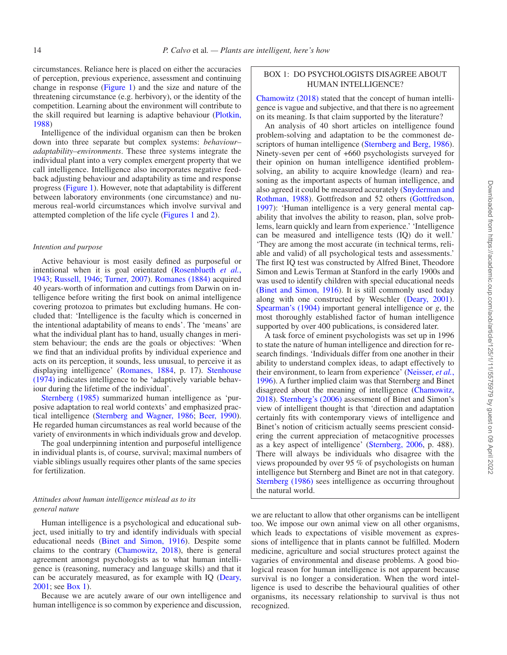circumstances. Reliance here is placed on either the accuracies of perception, previous experience, assessment and continuing change in response [\(Figure 1](#page-1-0)) and the size and nature of the threatening circumstance (e.g. herbivory), or the identity of the competition. Learning about the environment will contribute to the skill required but learning is adaptive behaviour [\(Plotkin,](#page-16-3)  [1988](#page-16-3))

Intelligence of the individual organism can then be broken down into three separate but complex systems: *behaviour– adaptability–environments*. These three systems integrate the individual plant into a very complex emergent property that we call intelligence. Intelligence also incorporates negative feedback adjusting behaviour and adaptability as time and response progress ([Figure 1](#page-1-0)). However, note that adaptability is different between laboratory environments (one circumstance) and numerous real-world circumstances which involve survival and attempted completion of the life cycle ([Figures 1](#page-1-0) and [2\)](#page-2-0).

# *Intention and purpose*

Active behaviour is most easily defined as purposeful or intentional when it is goal orientated [\(Rosenblueth](#page-16-4) *et al.*, [1943](#page-16-4); [Russell, 1946;](#page-16-5) [Turner, 2007](#page-17-5)). [Romanes \(1884\)](#page-16-6) acquired 40 years-worth of information and cuttings from Darwin on intelligence before writing the first book on animal intelligence covering protozoa to primates but excluding humans. He concluded that: 'Intelligence is the faculty which is concerned in the intentional adaptability of means to ends'. The 'means' are what the individual plant has to hand, usually changes in meristem behaviour; the ends are the goals or objectives: 'When we find that an individual profits by individual experience and acts on its perception, it sounds, less unusual, to perceive it as displaying intelligence' ([Romanes, 1884,](#page-16-6) p. 17). [Stenhouse](#page-17-6)  [\(1974\)](#page-17-6) indicates intelligence to be 'adaptively variable behaviour during the lifetime of the individual'.

[Sternberg \(1985\)](#page-17-7) summarized human intelligence as 'purposive adaptation to real world contexts' and emphasized practical intelligence [\(Sternberg and Wagner, 1986;](#page-17-8) [Beer, 1990\)](#page-14-3). He regarded human circumstances as real world because of the variety of environments in which individuals grow and develop.

The goal underpinning intention and purposeful intelligence in individual plants is, of course, survival; maximal numbers of viable siblings usually requires other plants of the same species for fertilization.

### *Attitudes about human intelligence mislead as to its general nature*

Human intelligence is a psychological and educational subject, used initially to try and identify individuals with special educational needs ([Binet and Simon, 1916](#page-14-4)). Despite some claims to the contrary [\(Chamowitz, 2018](#page-14-1)), there is general agreement amongst psychologists as to what human intelligence is (reasoning, numeracy and language skills) and that it can be accurately measured, as for example with IQ [\(Deary,](#page-15-2)  [2001](#page-15-2); see [Box 1\)](#page-3-0).

Because we are acutely aware of our own intelligence and human intelligence is so common by experience and discussion,

# <span id="page-3-0"></span>BOX 1: DO PSYCHOLOGISTS DISAGREE ABOUT HUMAN INTELLIGENCE?

[Chamowitz \(2018\)](#page-14-1) stated that the concept of human intelligence is vague and subjective, and that there is no agreement on its meaning. Is that claim supported by the literature?

An analysis of 40 short articles on intelligence found problem-solving and adaptation to be the commonest de-scriptors of human intelligence [\(Sternberg and Berg, 1986\)](#page-17-9). Ninety-seven per cent of +660 psychologists surveyed for their opinion on human intelligence identified problemsolving, an ability to acquire knowledge (learn) and reasoning as the important aspects of human intelligence, and also agreed it could be measured accurately ([Snyderman and](#page-17-10)  [Rothman, 1988\)](#page-17-10). Gottfredson and 52 others [\(Gottfredson,](#page-15-3)  [1997\)](#page-15-3): 'Human intelligence is a very general mental capability that involves the ability to reason, plan, solve problems, learn quickly and learn from experience.' 'Intelligence can be measured and intelligence tests (IQ) do it well.' 'They are among the most accurate (in technical terms, reliable and valid) of all psychological tests and assessments.' The first IQ test was constructed by Alfred Binet, Theodore Simon and Lewis Terman at Stanford in the early 1900s and was used to identify children with special educational needs ([Binet and Simon, 1916](#page-14-4)). It is still commonly used today along with one constructed by Weschler [\(Deary, 2001\)](#page-15-2). [Spearman's \(1904\)](#page-17-11) important general intelligence or *g*, the most thoroughly established factor of human intelligence supported by over 400 publications, is considered later.

A task force of eminent psychologists was set up in 1996 to state the nature of human intelligence and direction for research findings. 'Individuals differ from one another in their ability to understand complex ideas, to adapt effectively to their environment, to learn from experience' ([Neisser,](#page-16-7) *et al.*, [1996\)](#page-16-7). A further implied claim was that Sternberg and Binet disagreed about the meaning of intelligence [\(Chamowitz,](#page-14-1)  [2018\)](#page-14-1). [Sternberg's \(2006\)](#page-17-12) assessment of Binet and Simon's view of intelligent thought is that 'direction and adaptation certainly fits with contemporary views of intelligence and Binet's notion of criticism actually seems prescient considering the current appreciation of metacognitive processes as a key aspect of intelligence' ([Sternberg, 2006](#page-17-12), p. 488). There will always be individuals who disagree with the views propounded by over 95 % of psychologists on human intelligence but Sternberg and Binet are not in that category. [Sternberg \(1986\)](#page-17-8) sees intelligence as occurring throughout the natural world.

we are reluctant to allow that other organisms can be intelligent too. We impose our own animal view on all other organisms, which leads to expectations of visible movement as expressions of intelligence that in plants cannot be fulfilled. Modern medicine, agriculture and social structures protect against the vagaries of environmental and disease problems. A good biological reason for human intelligence is not apparent because survival is no longer a consideration. When the word intelligence is used to describe the behavioural qualities of other organisms, its necessary relationship to survival is thus not recognized.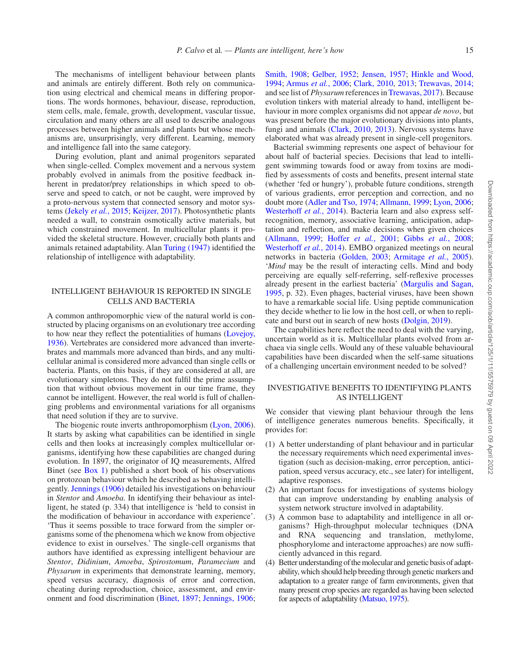The mechanisms of intelligent behaviour between plants and animals are entirely different. Both rely on communication using electrical and chemical means in differing proportions. The words hormones, behaviour, disease, reproduction, stem cells, male, female, growth, development, vascular tissue, circulation and many others are all used to describe analogous processes between higher animals and plants but whose mechanisms are, unsurprisingly, very different. Learning, memory and intelligence fall into the same category.

During evolution, plant and animal progenitors separated when single-celled. Complex movement and a nervous system probably evolved in animals from the positive feedback inherent in predator/prey relationships in which speed to observe and speed to catch, or not be caught, were improved by a proto-nervous system that connected sensory and motor systems ([Jekely](#page-16-8) *et al.*, 2015; [Keijzer, 2017](#page-16-9)). Photosynthetic plants needed a wall, to constrain osmotically active materials, but which constrained movement. In multicellular plants it provided the skeletal structure. However, crucially both plants and animals retained adaptability. Alan [Turing \(1947\)](#page-17-13) identified the relationship of intelligence with adaptability.

## INTELLIGENT BEHAVIOUR IS REPORTED IN SINGLE CELLS AND BACTERIA

A common anthropomorphic view of the natural world is constructed by placing organisms on an evolutionary tree according to how near they reflect the potentialities of humans ([Lovejoy,](#page-16-10) [1936\)](#page-16-10). Vertebrates are considered more advanced than invertebrates and mammals more advanced than birds, and any multicellular animal is considered more advanced than single cells or bacteria. Plants, on this basis, if they are considered at all, are evolutionary simpletons. They do not fulfil the prime assumption that without obvious movement in our time frame, they cannot be intelligent. However, the real world is full of challenging problems and environmental variations for all organisms that need solution if they are to survive.

The biogenic route inverts anthropomorphism ([Lyon, 2006\)](#page-16-11). It starts by asking what capabilities can be identified in single cells and then looks at increasingly complex multicellular organisms, identifying how these capabilities are changed during evolution. In 1897, the originator of IQ measurements, Alfred Binet (see [Box 1\)](#page-3-0) published a short book of his observations on protozoan behaviour which he described as behaving intelligently. [Jennings \(1906\)](#page-16-12) detailed his investigations on behaviour in *Stentor* and *Amoeba.* In identifying their behaviour as intelligent, he stated (p. 334) that intelligence is 'held to consist in the modification of behaviour in accordance with experience'. 'Thus it seems possible to trace forward from the simpler organisms some of the phenomena which we know from objective evidence to exist in ourselves.' The single-cell organisms that authors have identified as expressing intelligent behaviour are *Stentor*, *Didinium*, *Amoeba*, *Spirostomum*, *Paramecium* and *Physarum* in experiments that demonstrate learning, memory, speed versus accuracy, diagnosis of error and correction, cheating during reproduction, choice, assessment, and environment and food discrimination ([Binet, 1897;](#page-14-5) [Jennings, 1906;](#page-16-12)

[Smith, 1908;](#page-17-14) [Gelber, 1952;](#page-15-4) [Jensen, 1957](#page-16-13); [Hinkle and Wood,](#page-15-5) [1994](#page-15-5); [Armus](#page-14-6) *et al.*, 2006; [Clark, 2010](#page-14-7), [2013;](#page-14-8) [Trewavas, 2014;](#page-17-4) and see list of *Physarum* references in [Trewavas, 2017](#page-17-15)). Because evolution tinkers with material already to hand, intelligent behaviour in more complex organisms did not appear *de novo*, but was present before the major evolutionary divisions into plants, fungi and animals ([Clark, 2010,](#page-14-7) [2013](#page-14-8)). Nervous systems have elaborated what was already present in single-cell progenitors.

Bacterial swimming represents one aspect of behaviour for about half of bacterial species. Decisions that lead to intelligent swimming towards food or away from toxins are modified by assessments of costs and benefits, present internal state (whether 'fed or hungry'), probable future conditions, strength of various gradients, error perception and correction, and no doubt more [\(Adler and Tso, 1974;](#page-14-9) [Allmann, 1999](#page-14-10); [Lyon, 2006](#page-16-11); [Westerhoff](#page-17-16) *et al.*, 2014). Bacteria learn and also express selfrecognition, memory, associative learning, anticipation, adaptation and reflection, and make decisions when given choices ([Allmann, 1999](#page-14-10); [Hoffer](#page-15-6) *et al.*, 2001; Gibbs *et al.*[, 2008](#page-15-7); [Westerhoff](#page-17-16) *et al.*, 2014). EMBO organized meetings on neural networks in bacteria ([Golden, 2003;](#page-15-8) [Armitage](#page-14-11) *et al.*, 2005). '*Mind* may be the result of interacting cells. Mind and body perceiving are equally self-referring, self-reflexive processes already present in the earliest bacteria' ([Margulis and Sagan,](#page-16-14)  [1995](#page-16-14), p. 32). Even phages, bacterial viruses, have been shown to have a remarkable social life. Using peptide communication they decide whether to lie low in the host cell, or when to replicate and burst out in search of new hosts [\(Dolgin, 2019\)](#page-15-9).

The capabilities here reflect the need to deal with the varying, uncertain world as it is. Multicellular plants evolved from archaea via single cells. Would any of these valuable behavioural capabilities have been discarded when the self-same situations of a challenging uncertain environment needed to be solved?

# INVESTIGATIVE BENEFITS TO IDENTIFYING PLANTS AS INTELLIGENT

We consider that viewing plant behaviour through the lens of intelligence generates numerous benefits. Specifically, it provides for:

- (1) A better understanding of plant behaviour and in particular the necessary requirements which need experimental investigation (such as decision-making, error perception, anticipation, speed versus accuracy, etc., see later) for intelligent, adaptive responses.
- (2) An important focus for investigations of systems biology that can improve understanding by enabling analysis of system network structure involved in adaptability.
- (3) A common base to adaptability and intelligence in all organisms? High-throughput molecular techniques (DNA and RNA sequencing and translation, methylome, phosphorylome and interactome approaches) are now sufficiently advanced in this regard.
- (4) Better understanding of the molecular and genetic basis of adaptability, which should help breeding through genetic markers and adaptation to a greater range of farm environments, given that many present crop species are regarded as having been selected for aspects of adaptability [\(Matsuo, 1975\)](#page-16-15).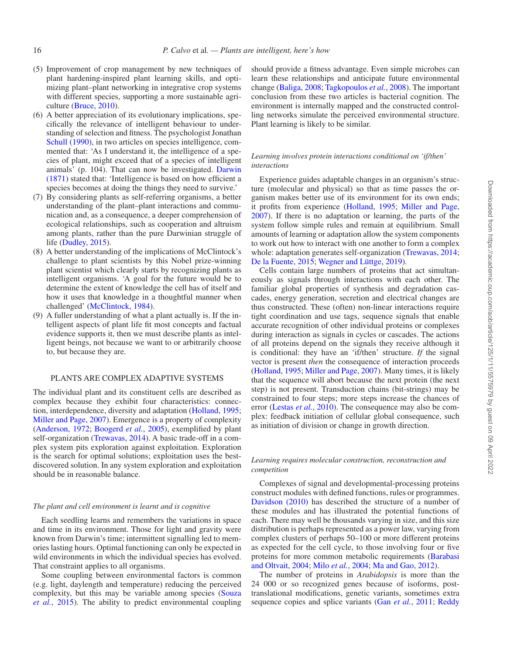- (5) Improvement of crop management by new techniques of plant hardening-inspired plant learning skills, and optimizing plant–plant networking in integrative crop systems with different species, supporting a more sustainable agriculture ([Bruce, 2010](#page-14-12)).
- (6) A better appreciation of its evolutionary implications, specifically the relevance of intelligent behaviour to understanding of selection and fitness. The psychologist Jonathan [Schull \(1990\),](#page-17-17) in two articles on species intelligence, commented that: 'As I understand it, the intelligence of a species of plant, might exceed that of a species of intelligent animals' (p. 104). That can now be investigated. [Darwin](#page-15-10)  [\(1871\)](#page-15-10) stated that: 'Intelligence is based on how efficient a species becomes at doing the things they need to survive.'
- (7) By considering plants as self-referring organisms, a better understanding of the plant–plant interactions and communication and, as a consequence, a deeper comprehension of ecological relationships, such as cooperation and altruism among plants, rather than the pure Darwinian struggle of life [\(Dudley, 2015\)](#page-15-11).
- (8) A better understanding of the implications of McClintock's challenge to plant scientists by this Nobel prize-winning plant scientist which clearly starts by recognizing plants as intelligent organisms. 'A goal for the future would be to determine the extent of knowledge the cell has of itself and how it uses that knowledge in a thoughtful manner when challenged' [\(McClintock, 1984](#page-16-16)).
- (9) A fuller understanding of what a plant actually is. If the intelligent aspects of plant life fit most concepts and factual evidence supports it, then we must describe plants as intelligent beings, not because we want to or arbitrarily choose to, but because they are.

## PLANTS ARE COMPLEX ADAPTIVE SYSTEMS

The individual plant and its constituent cells are described as complex because they exhibit four characteristics: connection, interdependence, diversity and adaptation ([Holland, 1995;](#page-15-12) [Miller and Page, 2007](#page-16-17)). Emergence is a property of complexity [\(Anderson, 1972](#page-14-13); [Boogerd](#page-14-14) *et al.*, 2005), exemplified by plant self-organization [\(Trewavas, 2014](#page-17-4)). A basic trade-off in a complex system pits exploration against exploitation. Exploration is the search for optimal solutions; exploitation uses the bestdiscovered solution. In any system exploration and exploitation should be in reasonable balance.

### *The plant and cell environment is learnt and is cognitive*

Each seedling learns and remembers the variations in space and time in its environment. Those for light and gravity were known from Darwin's time; intermittent signalling led to memories lasting hours. Optimal functioning can only be expected in wild environments in which the individual species has evolved. That constraint applies to all organisms.

Some coupling between environmental factors is common (e.g. light, daylength and temperature) reducing the perceived complexity, but this may be variable among species [\(Souza](#page-17-18)  *et al.*[, 2015](#page-17-18)). The ability to predict environmental coupling

should provide a fitness advantage. Even simple microbes can learn these relationships and anticipate future environmental change [\(Baliga, 2008](#page-14-15); [Tagkopoulos](#page-17-19) *et al.*, 2008). The important conclusion from these two articles is bacterial cognition. The environment is internally mapped and the constructed controlling networks simulate the perceived environmental structure. Plant learning is likely to be similar.

# *Learning involves protein interactions conditional on 'if/then' interactions*

Experience guides adaptable changes in an organism's structure (molecular and physical) so that as time passes the organism makes better use of its environment for its own ends; it profits from experience [\(Holland, 1995;](#page-15-12) [Miller and Page,](#page-16-17) [2007\)](#page-16-17). If there is no adaptation or learning, the parts of the system follow simple rules and remain at equilibrium. Small amounts of learning or adaptation allow the system components to work out how to interact with one another to form a complex whole: adaptation generates self-organization ([Trewavas, 2014](#page-17-4); [De la Fuente, 2015;](#page-15-13) [Wegner and Lüttge, 2019\)](#page-17-20).

Cells contain large numbers of proteins that act simultaneously as signals through interactions with each other. The familiar global properties of synthesis and degradation cascades, energy generation, secretion and electrical changes are thus constructed. These (often) non-linear interactions require tight coordination and use tags, sequence signals that enable accurate recognition of other individual proteins or complexes during interaction as signals in cycles or cascades. The actions of all proteins depend on the signals they receive although it is conditional: they have an 'if/then' structure. *If* the signal vector is present *then* the consequence of interaction proceeds ([Holland, 1995;](#page-15-12) [Miller and Page, 2007](#page-16-17)). Many times, it is likely that the sequence will abort because the next protein (the next step) is not present. Transduction chains (bit-strings) may be constrained to four steps; more steps increase the chances of error [\(Lestas](#page-16-18) *et al.*, 2010). The consequence may also be complex: feedback initiation of cellular global consequence, such as initiation of division or change in growth direction.

## *Learning requires molecular construction, reconstruction and competition*

Complexes of signal and developmental-processing proteins construct modules with defined functions, rules or programmes. [Davidson \(2010\)](#page-15-14) has described the structure of a number of these modules and has illustrated the potential functions of each. There may well be thousands varying in size, and this size distribution is perhaps represented as a power law, varying from complex clusters of perhaps 50–100 or more different proteins as expected for the cell cycle, to those involving four or five proteins for more common metabolic requirements ([Barabasi](#page-14-16)  [and Oltvait, 2004;](#page-14-16) Milo *et al.*[, 2004](#page-16-19); [Ma and Gao, 2012\)](#page-16-20).

The number of proteins in *Arabidopsis* is more than the 24 000 or so recognized genes because of isoforms, posttranslational modifications, genetic variants, sometimes extra sequence copies and splice variants (Gan *et al.*[, 2011;](#page-15-15) [Reddy](#page-16-21)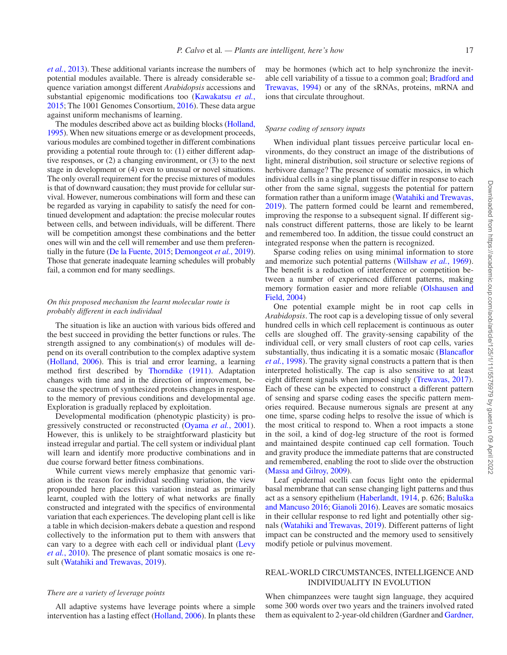*et al.*[, 2013](#page-16-21)). These additional variants increase the numbers of potential modules available. There is already considerable sequence variation amongst different *Arabidopsis* accessions and substantial epigenomic modifications too [\(Kawakatsu](#page-16-22) *et al.*, [2015](#page-16-22); The 1001 Genomes Consortium, [2016\)](#page-17-21). These data argue against uniform mechanisms of learning.

The modules described above act as building blocks [\(Holland,](#page-15-12) [1995\)](#page-15-12). When new situations emerge or as development proceeds, various modules are combined together in different combinations providing a potential route through to: (1) either different adaptive responses, or (2) a changing environment, or (3) to the next stage in development or (4) even to unusual or novel situations. The only overall requirement for the precise mixtures of modules is that of downward causation; they must provide for cellular survival. However, numerous combinations will form and these can be regarded as varying in capability to satisfy the need for continued development and adaptation: the precise molecular routes between cells, and between individuals, will be different. There will be competition amongst these combinations and the better ones will win and the cell will remember and use them preferentially in the future [\(De la Fuente, 2015](#page-15-13); [Demongeot](#page-15-16) *et al.*, 2019). Those that generate inadequate learning schedules will probably fail, a common end for many seedlings.

# *On this proposed mechanism the learnt molecular route is probably different in each individual*

The situation is like an auction with various bids offered and the best succeed in providing the better functions or rules. The strength assigned to any combination(s) of modules will depend on its overall contribution to the complex adaptive system [\(Holland, 2006\)](#page-15-17). This is trial and error learning, a learning method first described by [Thorndike \(1911\).](#page-17-22) Adaptation changes with time and in the direction of improvement, because the spectrum of synthesized proteins changes in response to the memory of previous conditions and developmental age. Exploration is gradually replaced by exploitation.

Developmental modification (phenotypic plasticity) is progressively constructed or reconstructed [\(Oyama](#page-16-23) *et al.*, 2001). However, this is unlikely to be straightforward plasticity but instead irregular and partial. The cell system or individual plant will learn and identify more productive combinations and in due course forward better fitness combinations.

While current views merely emphasize that genomic variation is the reason for individual seedling variation, the view propounded here places this variation instead as primarily learnt, coupled with the lottery of what networks are finally constructed and integrated with the specifics of environmental variation that each experiences. The developing plant cell is like a table in which decision-makers debate a question and respond collectively to the information put to them with answers that can vary to a degree with each cell or individual plant [\(Levy](#page-16-24) *et al.*[, 2010\)](#page-16-24). The presence of plant somatic mosaics is one result [\(Watahiki and Trewavas, 2019](#page-17-23)).

### *There are a variety of leverage points*

All adaptive systems have leverage points where a simple intervention has a lasting effect [\(Holland, 2006](#page-15-17)). In plants these may be hormones (which act to help synchronize the inevitable cell variability of a tissue to a common goal; [Bradford and](#page-14-17) [Trewavas, 1994\)](#page-14-17) or any of the sRNAs, proteins, mRNA and ions that circulate throughout.

#### *Sparse coding of sensory inputs*

When individual plant tissues perceive particular local environments, do they construct an image of the distributions of light, mineral distribution, soil structure or selective regions of herbivore damage? The presence of somatic mosaics, in which individual cells in a single plant tissue differ in response to each other from the same signal, suggests the potential for pattern formation rather than a uniform image [\(Watahiki and Trewavas,](#page-17-23)  [2019](#page-17-23)). The pattern formed could be learnt and remembered, improving the response to a subsequent signal. If different signals construct different patterns, those are likely to be learnt and remembered too. In addition, the tissue could construct an integrated response when the pattern is recognized.

Sparse coding relies on using minimal information to store and memorize such potential patterns ([Willshaw](#page-17-24) *et al.*, 1969). The benefit is a reduction of interference or competition between a number of experienced different patterns, making memory formation easier and more reliable [\(Olshausen and](#page-16-25) [Field, 2004](#page-16-25))

One potential example might be in root cap cells in *Arabidopsis*. The root cap is a developing tissue of only several hundred cells in which cell replacement is continuous as outer cells are sloughed off. The gravity-sensing capability of the individual cell, or very small clusters of root cap cells, varies substantially, thus indicating it is a somatic mosaic [\(Blancaflor](#page-14-18) *et al.*[, 1998](#page-14-18)). The gravity signal constructs a pattern that is then interpreted holistically. The cap is also sensitive to at least eight different signals when imposed singly [\(Trewavas, 2017](#page-17-15)). Each of these can be expected to construct a different pattern of sensing and sparse coding eases the specific pattern memories required. Because numerous signals are present at any one time, sparse coding helps to resolve the issue of which is the most critical to respond to. When a root impacts a stone in the soil, a kind of dog-leg structure of the root is formed and maintained despite continued cap cell formation. Touch and gravity produce the immediate patterns that are constructed and remembered, enabling the root to slide over the obstruction ([Massa and Gilroy, 2009](#page-16-26)).

Leaf epidermal ocelli can focus light onto the epidermal basal membrane that can sense changing light patterns and thus act as a sensory epithelium ([Haberlandt, 1914](#page-15-18), p. 626; [Baluška](#page-14-19) [and Mancuso 2016](#page-14-19); [Gianoli 2016\)](#page-15-19). Leaves are somatic mosaics in their cellular response to red light and potentially other signals ([Watahiki and Trewavas, 2019\)](#page-17-23). Different patterns of light impact can be constructed and the memory used to sensitively modify petiole or pulvinus movement.

# REAL-WORLD CIRCUMSTANCES, INTELLIGENCE AND INDIVIDUALITY IN EVOLUTION

When chimpanzees were taught sign language, they acquired some 300 words over two years and the trainers involved rated them as equivalent to 2-year-old children (Gardner and [Gardner,](#page-15-20)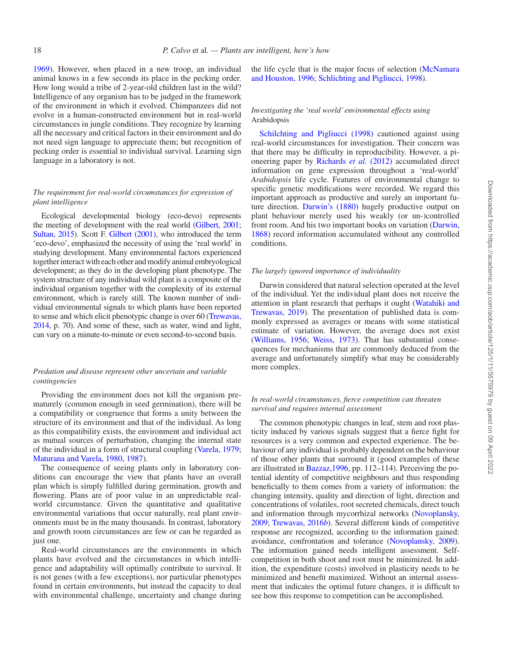[1969](#page-15-20)). However, when placed in a new troop, an individual animal knows in a few seconds its place in the pecking order. How long would a tribe of 2-year-old children last in the wild? Intelligence of any organism has to be judged in the framework of the environment in which it evolved. Chimpanzees did not evolve in a human-constructed environment but in real-world circumstances in jungle conditions. They recognize by learning all the necessary and critical factors in their environment and do not need sign language to appreciate them; but recognition of pecking order is essential to individual survival. Learning sign language in a laboratory is not.

# *The requirement for real-world circumstances for expression of plant intelligence*

Ecological developmental biology (eco-devo) represents the meeting of development with the real world [\(Gilbert, 2001;](#page-15-1) [Sultan, 2015\)](#page-17-3). Scott F. [Gilbert \(2001\)](#page-15-1), who introduced the term 'eco-devo', emphasized the necessity of using the 'real world' in studying development. Many environmental factors experienced together interact with each other and modify animal embryological development; as they do in the developing plant phenotype. The system structure of any individual wild plant is a composite of the individual organism together with the complexity of its external environment, which is rarely still. The known number of individual environmental signals to which plants have been reported to sense and which elicit phenotypic change is over 60 [\(Trewavas,](#page-17-4)  [2014](#page-17-4), p. 70). And some of these, such as water, wind and light, can vary on a minute-to-minute or even second-to-second basis.

# *Predation and disease represent other uncertain and variable contingencies*

Providing the environment does not kill the organism prematurely (common enough in seed germination), there will be a compatibility or congruence that forms a unity between the structure of its environment and that of the individual. As long as this compatibility exists, the environment and individual act as mutual sources of perturbation, changing the internal state of the individual in a form of structural coupling [\(Varela, 1979;](#page-17-25) [Maturana and Varela, 1980,](#page-16-27) [1987\)](#page-16-28).

The consequence of seeing plants only in laboratory conditions can encourage the view that plants have an overall plan which is simply fulfilled during germination, growth and flowering. Plans are of poor value in an unpredictable realworld circumstance. Given the quantitative and qualitative environmental variations that occur naturally, real plant environments must be in the many thousands. In contrast, laboratory and growth room circumstances are few or can be regarded as just one.

Real-world circumstances are the environments in which plants have evolved and the circumstances in which intelligence and adaptability will optimally contribute to survival. It is not genes (with a few exceptions), nor particular phenotypes found in certain environments, but instead the capacity to deal with environmental challenge, uncertainty and change during

the life cycle that is the major focus of selection ([McNamara](#page-16-29)  [and Houston, 1996](#page-16-29); [Schlichting and Pigliucci, 1998](#page-17-26)).

## *Investigating the 'real world' environmental effects using*  Arabidopsis

[Schilchting and Pigliucci \(1998\)](#page-17-26) cautioned against using real-world circumstances for investigation. Their concern was that there may be difficulty in reproducibility. However, a pioneering paper by [Richards](#page-16-30) *et al.* (2012) accumulated direct information on gene expression throughout a 'real-world' *Arabidopsis* life cycle. Features of environmental change to specific genetic modifications were recorded. We regard this important approach as productive and surely an important future direction. [Darwin's \(1880\)](#page-15-21) hugely productive output on plant behaviour merely used his weakly (or un-)controlled front room. And his two important books on variation ([Darwin,](#page-15-22) [1868\)](#page-15-22) record information accumulated without any controlled conditions.

### *The largely ignored importance of individuality*

Darwin considered that natural selection operated at the level of the individual. Yet the individual plant does not receive the attention in plant research that perhaps it ought ([Watahiki and](#page-17-23) [Trewavas, 2019](#page-17-23)). The presentation of published data is commonly expressed as averages or means with some statistical estimate of variation. However, the average does not exist ([Williams, 1956;](#page-17-27) [Weiss, 1973](#page-17-28)). That has substantial consequences for mechanisms that are commonly deduced from the average and unfortunately simplify what may be considerably more complex.

### *In real-world circumstances, fierce competition can threaten survival and requires internal assessment*

The common phenotypic changes in leaf, stem and root plasticity induced by various signals suggest that a fierce fight for resources is a very common and expected experience. The behaviour of any individual is probably dependent on the behaviour of those other plants that surround it (good examples of these are illustrated in [Bazzaz,1996,](#page-14-2) pp. 112–114). Perceiving the potential identity of competitive neighbours and thus responding beneficially to them comes from a variety of information: the changing intensity, quality and direction of light, direction and concentrations of volatiles, root secreted chemicals, direct touch and information through mycorrhizal networks ([Novoplansky,](#page-16-31) [2009](#page-16-31); [Trewavas, 2016](#page-17-29)*b*). Several different kinds of competitive response are recognized, according to the information gained: avoidance, confrontation and tolerance ([Novoplansky, 2009](#page-16-31)). The information gained needs intelligent assessment. Selfcompetition in both shoot and root must be minimized. In addition, the expenditure (costs) involved in plasticity needs to be minimized and benefit maximized. Without an internal assessment that indicates the optimal future changes, it is difficult to see how this response to competition can be accomplished.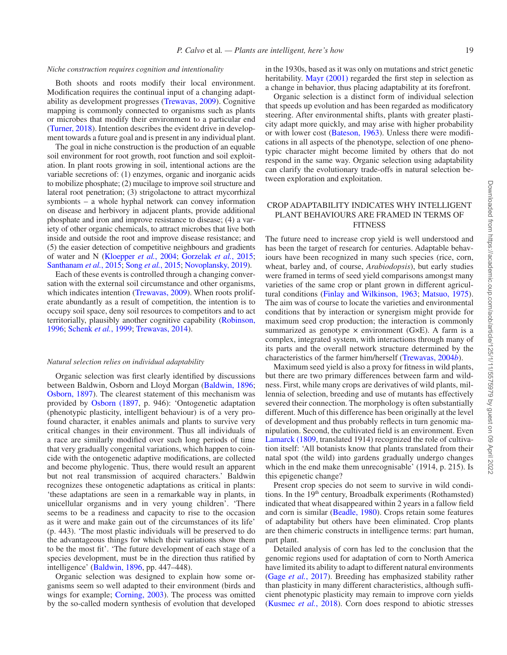#### *Niche construction requires cognition and intentionality*

Both shoots and roots modify their local environment. Modification requires the continual input of a changing adaptability as development progresses [\(Trewavas, 2009](#page-17-30)). Cognitive mapping is commonly connected to organisms such as plants or microbes that modify their environment to a particular end [\(Turner, 2018](#page-17-31)). Intention describes the evident drive in development towards a future goal and is present in any individual plant.

The goal in niche construction is the production of an equable soil environment for root growth, root function and soil exploitation. In plant roots growing in soil, intentional actions are the variable secretions of: (1) enzymes, organic and inorganic acids to mobilize phosphate; (2) mucilage to improve soil structure and lateral root penetration; (3) strigolactone to attract mycorrhizal symbionts – a whole hyphal network can convey information on disease and herbivory in adjacent plants, provide additional phosphate and iron and improve resistance to disease; (4) a variety of other organic chemicals, to attract microbes that live both inside and outside the root and improve disease resistance; and (5) the easier detection of competitive neighbours and gradients of water and N [\(Kloepper](#page-16-32) *et al.*, 2004; [Gorzelak](#page-15-23) *et al.*, 2015; [Santhanam](#page-16-33) *et al.*, 2015; Song *et al.*[, 2015](#page-17-32); [Novoplansky, 2019\)](#page-16-34).

Each of these events is controlled through a changing conversation with the external soil circumstance and other organisms, which indicates intention [\(Trewavas, 2009](#page-17-30)). When roots proliferate abundantly as a result of competition, the intention is to occupy soil space, deny soil resources to competitors and to act territorially, plausibly another cognitive capability ([Robinson,](#page-16-35) [1996;](#page-16-35) [Schenk](#page-17-33) *et al.*, 1999; [Trewavas, 2014](#page-17-4)).

#### *Natural selection relies on individual adaptability*

Organic selection was first clearly identified by discussions between Baldwin, Osborn and Lloyd Morgan [\(Baldwin, 1896;](#page-14-20) [Osborn, 1897](#page-16-36)). The clearest statement of this mechanism was provided by [Osborn \(1897](#page-16-36), p. 946): 'Ontogenetic adaptation (phenotypic plasticity, intelligent behaviour) is of a very profound character, it enables animals and plants to survive very critical changes in their environment. Thus all individuals of a race are similarly modified over such long periods of time that very gradually congenital variations, which happen to coincide with the ontogenetic adaptive modifications, are collected and become phylogenic. Thus, there would result an apparent but not real transmission of acquired characters.' Baldwin recognizes these ontogenetic adaptations as critical in plants: 'these adaptations are seen in a remarkable way in plants, in unicellular organisms and in very young children'. 'There seems to be a readiness and capacity to rise to the occasion as it were and make gain out of the circumstances of its life' (p. 443). 'The most plastic individuals will be preserved to do the advantageous things for which their variations show them to be the most fit'. 'The future development of each stage of a species development, must be in the direction thus ratified by intelligence' ([Baldwin, 1896,](#page-14-20) pp. 447–448).

Organic selection was designed to explain how some organisms seem so well adapted to their environment (birds and wings for example; [Corning, 2003\)](#page-14-21). The process was omitted by the so-called modern synthesis of evolution that developed in the 1930s, based as it was only on mutations and strict genetic heritability. [Mayr \(2001\)](#page-16-0) regarded the first step in selection as a change in behavior, thus placing adaptability at its forefront.

Organic selection is a distinct form of individual selection that speeds up evolution and has been regarded as modificatory steering. After environmental shifts, plants with greater plasticity adapt more quickly, and may arise with higher probability or with lower cost [\(Bateson, 1963](#page-14-22)). Unless there were modifications in all aspects of the phenotype, selection of one phenotypic character might become limited by others that do not respond in the same way. Organic selection using adaptability can clarify the evolutionary trade-offs in natural selection between exploration and exploitation.

# CROP ADAPTABILITY INDICATES WHY INTELLIGENT PLANT BEHAVIOURS ARE FRAMED IN TERMS OF **FITNESS**

The future need to increase crop yield is well understood and has been the target of research for centuries. Adaptable behaviours have been recognized in many such species (rice, corn, wheat, barley and, of course, *Arabiodopsis*), but early studies were framed in terms of seed yield comparisons amongst many varieties of the same crop or plant grown in different agricultural conditions ([Finlay and Wilkinson, 1963](#page-15-24); [Matsuo, 1975](#page-16-15)). The aim was of course to locate the varieties and environmental conditions that by interaction or synergism might provide for maximum seed crop production; the interaction is commonly summarized as genotype  $\times$  environment (G $\times$ E). A farm is a complex, integrated system, with interactions through many of its parts and the overall network structure determined by the characteristics of the farmer him/herself [\(Trewavas, 2004](#page-17-34)*b*).

Maximum seed yield is also a proxy for fitness in wild plants, but there are two primary differences between farm and wildness. First, while many crops are derivatives of wild plants, millennia of selection, breeding and use of mutants has effectively severed their connection. The morphology is often substantially different. Much of this difference has been originally at the level of development and thus probably reflects in turn genomic manipulation. Second, the cultivated field is an environment. Even [Lamarck \(1809,](#page-16-37) translated 1914) recognized the role of cultivation itself: 'All botanists know that plants translated from their natal spot (the wild) into gardens gradually undergo changes which in the end make them unrecognisable' (1914, p. 215). Is this epigenetic change?

Present crop species do not seem to survive in wild conditions. In the 19<sup>th</sup> century, Broadbalk experiments (Rothamsted) indicated that wheat disappeared within 2 years in a fallow field and corn is similar [\(Beadle, 1980](#page-14-23)). Crops retain some features of adaptability but others have been eliminated. Crop plants are then chimeric constructs in intelligence terms: part human, part plant.

Detailed analysis of corn has led to the conclusion that the genomic regions used for adaptation of corn to North America have limited its ability to adapt to different natural environments (Gage *et al.*[, 2017\)](#page-15-25). Breeding has emphasized stability rather than plasticity in many different characteristics, although sufficient phenotypic plasticity may remain to improve corn yields ([Kusmec](#page-16-38) *et al.*, 2018). Corn does respond to abiotic stresses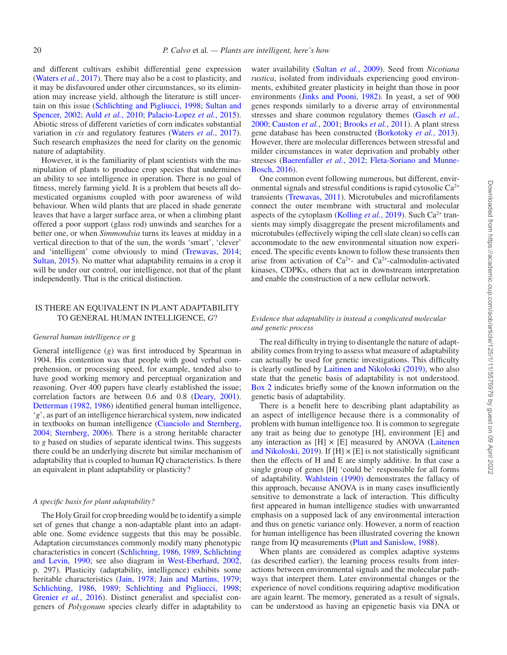and different cultivars exhibit differential gene expression [\(Waters](#page-17-35) *et al.*, 2017). There may also be a cost to plasticity, and it may be disfavoured under other circumstances, so its elimination may increase yield, although the literature is still uncertain on this issue [\(Schlichting and Pigliucci, 1998;](#page-17-26) [Sultan and](#page-17-36)  [Spencer, 2002;](#page-17-36) Auld *et al.*[, 2010;](#page-14-24) [Palacio-Lopez](#page-16-39) *et al.*, 2015). Abiotic stress of different varieties of corn indicates substantial variation in *cis* and regulatory features ([Waters](#page-17-35) *et al.*, 2017). Such research emphasizes the need for clarity on the genomic nature of adaptability.

However, it is the familiarity of plant scientists with the manipulation of plants to produce crop species that undermines an ability to see intelligence in operation. There is no goal of fitness, merely farming yield. It is a problem that besets all domesticated organisms coupled with poor awareness of wild behaviour. When wild plants that are placed in shade generate leaves that have a larger surface area, or when a climbing plant offered a poor support (glass rod) unwinds and searches for a better one, or when *Simmondsia* turns its leaves at midday in a vertical direction to that of the sun, the words 'smart', 'clever' and 'intelligent' come obviously to mind ([Trewavas, 2014;](#page-17-4) [Sultan, 2015\)](#page-17-3). No matter what adaptability remains in a crop it will be under our control, our intelligence, not that of the plant independently. That is the critical distinction.

# IS THERE AN EQUIVALENT IN PLANT ADAPTABILITY TO GENERAL HUMAN INTELLIGENCE, *G*?

# *General human intelligence or* g

General intelligence (*g*) was first introduced by Spearman in 1904. His contention was that people with good verbal comprehension, or processing speed, for example, tended also to have good working memory and perceptual organization and reasoning. Over 400 papers have clearly established the issue; correlation factors are between 0.6 and 0.8 [\(Deary, 2001\)](#page-15-2). [Detterman \(1982](#page-15-26), [1986\)](#page-15-27) identified general human intelligence, '*g*', as part of an intelligence hierarchical system, now indicated in textbooks on human intelligence [\(Cianciolo and Sternberg,](#page-14-25)  [2004](#page-14-25); [Sternberg, 2006\)](#page-17-12). There is a strong heritable character to *g* based on studies of separate identical twins. This suggests there could be an underlying discrete but similar mechanism of adaptability that is coupled to human IQ characteristics. Is there an equivalent in plant adaptability or plasticity?

#### *A specific basis for plant adaptability?*

The Holy Grail for crop breeding would be to identify a simple set of genes that change a non-adaptable plant into an adaptable one. Some evidence suggests that this may be possible. Adaptation circumstances commonly modify many phenotypic characteristics in concert [\(Schlichting, 1986,](#page-17-37) [1989,](#page-17-38) [Schlichting](#page-17-39)  [and Levin, 1990;](#page-17-39) see also diagram in [West-Eberhard, 2002](#page-17-40), p. 297). Plasticity (adaptability, intelligence) exhibits some heritable characteristics [\(Jain, 1978;](#page-15-28) [Jain and Martins, 1979;](#page-16-40) [Schlichting, 1986](#page-17-37), [1989](#page-17-38); [Schlichting and Pigliucci, 1998;](#page-17-26) [Grenier](#page-15-29) *et al.*, 2016). Distinct generalist and specialist congeners of *Polygonum* species clearly differ in adaptability to

water availability [\(Sultan](#page-17-41) *et al.*, 2009). Seed from *Nicotiana rustica*, isolated from individuals experiencing good environments, exhibited greater plasticity in height than those in poor environments ([Jinks and Pooni, 1982\)](#page-16-41). In yeast, a set of 900 genes responds similarly to a diverse array of environmental stresses and share common regulatory themes ([Gasch](#page-15-30) *et al.*, [2000;](#page-15-30) [Causton](#page-14-26) *et al.*, 2001; [Brooks](#page-14-27) *et al.*, 2011). A plant stress gene database has been constructed [\(Borkotoky](#page-14-28) *et al.*, 2013). However, there are molecular differences between stressful and milder circumstances in water deprivation and probably other stresses ([Baerenfaller](#page-14-29) *et al.*, 2012; [Fleta-Soriano and Munne-](#page-15-31)[Bosch, 2016\)](#page-15-31).

One common event following numerous, but different, environmental signals and stressful conditions is rapid cytosolic  $Ca^{2+}$ transients [\(Trewavas, 2011\)](#page-17-42). Microtubules and microfilaments connect the outer membrane with structural and molecular aspects of the cytoplasm [\(Kolling](#page-16-42) *et al.*, 2019). Such Ca<sup>2+</sup> transients may simply disaggregate the present microfilaments and microtubules (effectively wiping the cell slate clean) so cells can accommodate to the new environmental situation now experienced. The specific events known to follow these transients then arise from activation of  $Ca^{2+}$ - and  $Ca^{2+}$ -calmodulin-activated kinases, CDPKs, others that act in downstream interpretation and enable the construction of a new cellular network.

### *Evidence that adaptability is instead a complicated molecular and genetic process*

The real difficulty in trying to disentangle the nature of adaptability comes from trying to assess what measure of adaptability can actually be used for genetic investigations. This difficulty is clearly outlined by [Laitinen and Nikoloski \(2019\),](#page-16-43) who also state that the genetic basis of adaptability is not understood. [Box 2](#page-10-0) indicates briefly some of the known information on the genetic basis of adaptability.

There is a benefit here to describing plant adaptability as an aspect of intelligence because there is a commonality of problem with human intelligence too. It is common to segregate any trait as being due to genotype [H], environment [E] and any interaction as  $[H] \times [E]$  measured by ANOVA [\(Laitenen](#page-16-43) [and Nikoloski, 2019\)](#page-16-43). If  $[H] \times [E]$  is not statistically significant then the effects of H and E are simply additive. In that case a single group of genes [H] 'could be' responsible for all forms of adaptability. [Wahlstein \(1990\)](#page-17-43) demonstrates the fallacy of this approach, because ANOVA is in many cases insufficiently sensitive to demonstrate a lack of interaction. This difficulty first appeared in human intelligence studies with unwarranted emphasis on a supposed lack of any environmental interaction and thus on genetic variance only. However, a norm of reaction for human intelligence has been illustrated covering the known range from IQ measurements [\(Platt and Sanislow, 1988\)](#page-16-44).

When plants are considered as complex adaptive systems (as described earlier), the learning process results from interactions between environmental signals and the molecular pathways that interpret them. Later environmental changes or the experience of novel conditions requiring adaptive modification are again learnt. The memory, generated as a result of signals, can be understood as having an epigenetic basis via DNA or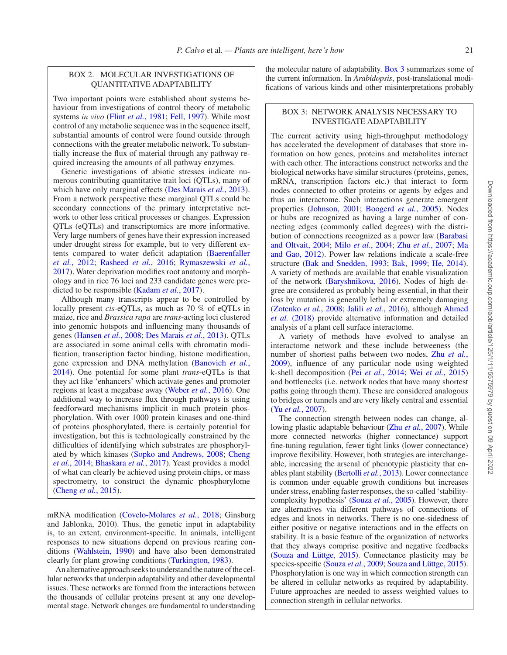# <span id="page-10-0"></span>BOX 2. MOLECULAR INVESTIGATIONS OF QUANTITATIVE ADAPTABILITY

Two important points were established about systems behaviour from investigations of control theory of metabolic systems *in vivo* (Flint *et al.*[, 1981](#page-15-32); [Fell, 1997\)](#page-15-33). While most control of any metabolic sequence was in the sequence itself, substantial amounts of control were found outside through connections with the greater metabolic network. To substantially increase the flux of material through any pathway required increasing the amounts of all pathway enzymes.

Genetic investigations of abiotic stresses indicate numerous contributing quantitative trait loci (QTLs), many of which have only marginal effects ([Des Marais](#page-15-34) *et al.*, 2013). From a network perspective these marginal QTLs could be secondary connections of the primary interpretative network to other less critical processes or changes. Expression QTLs (eQTLs) and transcriptomics are more informative. Very large numbers of genes have their expression increased under drought stress for example, but to very different extents compared to water deficit adaptation ([Baerenfaller](#page-14-29)  *et al.*[, 2012;](#page-14-29) [Rasheed](#page-16-45) *et al.*, 2016; [Rymaszewski](#page-16-46) *et al.*, [2017](#page-16-46)). Water deprivation modifies root anatomy and morphology and in rice 76 loci and 233 candidate genes were predicted to be responsible ([Kadam](#page-16-47) *et al.*, 2017).

Although many transcripts appear to be controlled by locally present *cis*-eQTLs, as much as 70 % of eQTLs in maize, rice and *Brassica rapa* are *trans*-acting loci clustered into genomic hotspots and influencing many thousands of genes ([Hansen](#page-15-35) *et al.*, 2008; [Des Marais](#page-15-34) *et al.*, 2013). QTLs are associated in some animal cells with chromatin modification, transcription factor binding, histone modification, gene expression and DNA methylation ([Banovich](#page-14-31) *et al.*, [2014](#page-14-31)). One potential for some plant *trans*-eQTLs is that they act like 'enhancers' which activate genes and promoter regions at least a megabase away ([Weber](#page-17-45) *et al.*, 2016). One additional way to increase flux through pathways is using feedforward mechanisms implicit in much protein phosphorylation. With over 1000 protein kinases and one-third of proteins phosphorylated, there is certainly potential for investigation, but this is technologically constrained by the difficulties of identifying which substrates are phosphorylated by which kinases ([Sopko and Andrews, 2008;](#page-17-46) [Cheng](#page-14-32) *et al.*[, 2014;](#page-14-32) [Bhaskara](#page-14-33) *et al.*, 2017). Yeast provides a model of what can clearly be achieved using protein chips, or mass spectrometry, to construct the dynamic phosphorylome [\(Cheng](#page-14-34) *et al.*, 2015).

mRNA modification ([Covelo-Molares](#page-14-30) *et al.*, 2018; Ginsburg and Jablonka, 2010). Thus, the genetic input in adaptability is, to an extent, environment-specific. In animals, intelligent responses to new situations depend on previous rearing conditions [\(Wahlstein, 1990](#page-17-43)) and have also been demonstrated clearly for plant growing conditions [\(Turkington, 1983\)](#page-17-44).

An alternative approach seeks to understand the nature of the cellular networks that underpin adaptability and other developmental issues. These networks are formed from the interactions between the thousands of cellular proteins present at any one developmental stage. Network changes are fundamental to understanding

the molecular nature of adaptability. [Box 3](#page-10-1) summarizes some of the current information. In *Arabidopsis*, post-translational modifications of various kinds and other misinterpretations probably

# <span id="page-10-1"></span>BOX 3: NETWORK ANALYSIS NECESSARY TO INVESTIGATE ADAPTABILITY

The current activity using high-throughput methodology has accelerated the development of databases that store information on how genes, proteins and metabolites interact with each other. The interactions construct networks and the biological networks have similar structures (proteins, genes, mRNA, transcription factors etc.) that interact to form nodes connected to other proteins or agents by edges and thus an interactome. Such interactions generate emergent properties ([Johnson, 2001;](#page-16-48) [Boogerd](#page-14-14) *et al.*, 2005). Nodes or hubs are recognized as having a large number of connecting edges (commonly called degrees) with the distribution of connections recognized as a power law ([Barabasi](#page-14-16)  [and Oltvait, 2004](#page-14-16); Milo *et al.*[, 2004;](#page-16-19) Zhu *et al.*[, 2007](#page-17-47); [Ma](#page-16-20)  [and Gao, 2012](#page-16-20)). Power law relations indicate a scale-free structure ([Bak and Snedden, 1993](#page-14-35); [Bak, 1999;](#page-14-36) [He, 2014\)](#page-15-36). A variety of methods are available that enable visualization of the network [\(Baryshnikova, 2016](#page-14-37)). Nodes of high degree are considered as probably being essential, in that their loss by mutation is generally lethal or extremely damaging [\(Zotenko](#page-17-48) *et al.*, 2008; Jalili *et al.*[, 2016](#page-16-49)), although [Ahmed](#page-14-38)  *et al.* [\(2018\)](#page-14-38) provide alternative information and detailed analysis of a plant cell surface interactome.

A variety of methods have evolved to analyse an interactome network and these include betweeness (the number of shortest paths between two nodes, Zhu *[et al.](#page-17-47)*, [2009](#page-17-47)), influence of any particular node using weighted k-shell decomposition (Pei *et al.*[, 2014](#page-16-50); Wei *et al.*[, 2015](#page-17-49)) and bottlenecks (i.e. network nodes that have many shortest paths going through them). These are considered analogous to bridges or tunnels and are very likely central and essential (Yu *et al.*[, 2007\)](#page-17-50).

The connection strength between nodes can change, allowing plastic adaptable behaviour (Zhu *et al.*[, 2007](#page-17-47)). While more connected networks (higher connectance) support fine-tuning regulation, fewer tight links (lower connectance) improve flexibility. However, both strategies are interchangeable, increasing the arsenal of phenotypic plasticity that enables plant stability [\(Bertolli](#page-14-39) *et al.*, 2013). Lower connectance is common under equable growth conditions but increases under stress, enabling faster responses, the so-called 'stabilitycomplexity hypothesis' [\(Souza](#page-17-51) *et al.*, 2005). However, there are alternatives via different pathways of connections of edges and knots in networks. There is no one-sidedness of either positive or negative interactions and in the effects on stability. It is a basic feature of the organization of networks that they always comprise positive and negative feedbacks [\(Souza and Lüttge, 2015](#page-17-18)). Connectance plasticity may be species-specific ([Souza](#page-17-52) *et al.*, 2009; [Souza and Lüttge, 2015\)](#page-17-18). Phosphorylation is one way in which connection strength can be altered in cellular networks as required by adaptability. Future approaches are needed to assess weighted values to connection strength in cellular networks.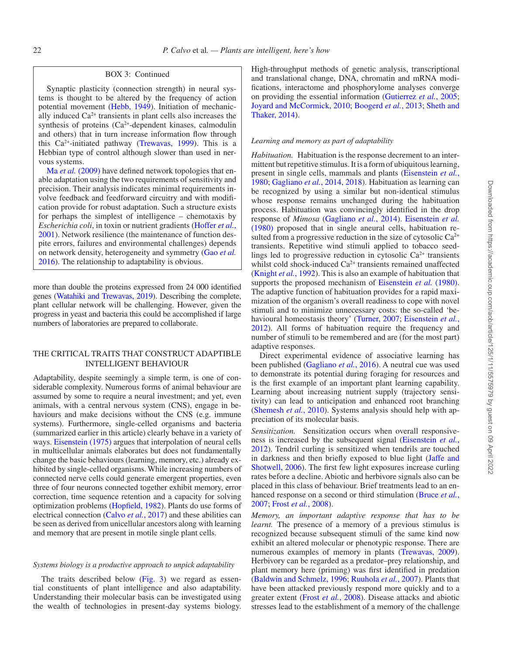#### BOX 3: Continued

Synaptic plasticity (connection strength) in neural systems is thought to be altered by the frequency of action potential movement [\(Hebb, 1949\)](#page-15-47). Initiation of mechanically induced  $Ca<sup>2+</sup>$  transients in plant cells also increases the synthesis of proteins (Ca2+-dependent kinases, calmodulin and others) that in turn increase information flow through this  $Ca^{2+}$ -initiated pathway [\(Trewavas, 1999](#page-17-54)). This is a Hebbian type of control although slower than used in nervous systems.

Ma *et al.* [\(2009\)](#page-16-55) have defined network topologies that enable adaptation using the two requirements of sensitivity and precision. Their analysis indicates minimal requirements involve feedback and feedforward circuitry and with modification provide for robust adaptation. Such a structure exists for perhaps the simplest of intelligence – chemotaxis by *Escherichia coli*, in toxin or nutrient gradients ([Hoffer](#page-15-6) *et al.*, [2001](#page-15-6)). Network resilience (the maintenance of function despite errors, failures and environmental challenges) depends on network density, heterogeneity and symmetry (Gao *[et al.](#page-15-48)* [2016](#page-15-48)). The relationship to adaptability is obvious.

more than double the proteins expressed from 24 000 identified genes [\(Watahiki and Trewavas, 2019](#page-17-23)). Describing the complete, plant cellular network will be challenging. However, given the progress in yeast and bacteria this could be accomplished if large numbers of laboratories are prepared to collaborate.

# THE CRITICAL TRAITS THAT CONSTRUCT ADAPTIBLE INTELLIGENT BEHAVIOUR

Adaptability, despite seemingly a simple term, is one of considerable complexity. Numerous forms of animal behaviour are assumed by some to require a neural investment; and yet, even animals, with a central nervous system (CNS), engage in behaviours and make decisions without the CNS (e.g. immune systems). Furthermore, single-celled organisms and bacteria (summarized earlier in this article) clearly behave in a variety of ways. [Eisenstein \(1975\)](#page-15-37) argues that interpolation of neural cells in multicellular animals elaborates but does not fundamentally change the basic behaviours (learning, memory, etc.) already exhibited by single-celled organisms. While increasing numbers of connected nerve cells could generate emergent properties, even three of four neurons connected together exhibit memory, error correction, time sequence retention and a capacity for solving optimization problems [\(Hopfield, 1982\)](#page-15-38). Plants do use forms of electrical connection ([Calvo](#page-14-40) *et al.*, 2017) and these abilities can be seen as derived from unicellular ancestors along with learning and memory that are present in motile single plant cells.

### *Systems biology is a productive approach to unpick adaptability*

The traits described below ([Fig. 3\)](#page-12-0) we regard as essential constituents of plant intelligence and also adaptability. Understanding their molecular basis can be investigated using the wealth of technologies in present-day systems biology.

High-throughput methods of genetic analysis, transcriptional and translational change, DNA, chromatin and mRNA modifications, interactome and phosphorylome analyses converge on providing the essential information [\(Gutierrez](#page-15-39) *et al.*, 2005; [Joyard and McCormick, 2010;](#page-16-51) [Boogerd](#page-14-41) *et al.*, 2013; [Sheth and](#page-17-53)  [Thaker, 2014](#page-17-53)).

### *Learning and memory as part of adaptability*

*Habituation.* Habituation is the response decrement to an intermittent but repetitive stimulus. It is a form of ubiquitous learning, present in single cells, mammals and plants ([Eisenstein](#page-15-40) *et al.*, [1980;](#page-15-40) [Gagliano](#page-15-41) *et al.*, 2014, [2018](#page-15-42)). Habituation as learning can be recognized by using a similar but non-identical stimulus whose response remains unchanged during the habituation process. Habituation was convincingly identified in the drop response of *Mimosa* ([Gagliano](#page-15-41) *et al.*, 2014). [Eisenstein](#page-15-40) *et al.* [\(1980\)](#page-15-40) proposed that in single aneural cells, habituation resulted from a progressive reduction in the size of cytosolic  $Ca^{2+}$ transients. Repetitive wind stimuli applied to tobacco seedlings led to progressive reduction in cytosolic  $Ca^{2+}$  transients whilst cold shock-induced  $Ca^{2+}$  transients remained unaffected ([Knight](#page-16-52) *et al.*, 1992). This is also an example of habituation that supports the proposed mechanism of [Eisenstein](#page-15-40) *et al.* (1980). The adaptive function of habituation provides for a rapid maximization of the organism's overall readiness to cope with novel stimuli and to minimize unnecessary costs: the so-called 'behavioural homeostasis theory' ([Turner, 2007;](#page-17-5) [Eisenstein](#page-15-43) *et al.*, [2012\)](#page-15-43). All forms of habituation require the frequency and number of stimuli to be remembered and are (for the most part) adaptive responses.

Direct experimental evidence of associative learning has been published ([Gagliano](#page-15-44) *et al.*, 2016). A neutral cue was used to demonstrate its potential during foraging for resources and is the first example of an important plant learning capability. Learning about increasing nutrient supply (trajectory sensitivity) can lead to anticipation and enhanced root branching ([Shemesh](#page-16-53) *et al.*, 2010). Systems analysis should help with appreciation of its molecular basis.

*Sensitization.* Sensitization occurs when overall responsiveness is increased by the subsequent signal [\(Eisenstein](#page-15-43) *et al.*, [2012\)](#page-15-43). Tendril curling is sensitized when tendrils are touched in darkness and then briefly exposed to blue light ([Jaffe and](#page-15-45) [Shotwell, 2006](#page-15-45)). The first few light exposures increase curling rates before a decline. Abiotic and herbivore signals also can be placed in this class of behaviour. Brief treatments lead to an enhanced response on a second or third stimulation ([Bruce](#page-14-42) *et al.*, [2007;](#page-14-42) Frost *et al.*[, 2008\)](#page-15-46).

*Memory, an important adaptive response that has to be learnt.* The presence of a memory of a previous stimulus is recognized because subsequent stimuli of the same kind now exhibit an altered molecular or phenotypic response. There are numerous examples of memory in plants [\(Trewavas, 2009](#page-17-30)). Herbivory can be regarded as a predator–prey relationship, and plant memory here (priming) was first identified in predation ([Baldwin and Schmelz, 1996](#page-14-43); [Ruuhola](#page-16-54) *et al.*, 2007). Plants that have been attacked previously respond more quickly and to a greater extent (Frost *et al.*[, 2008\)](#page-15-46). Disease attacks and abiotic stresses lead to the establishment of a memory of the challenge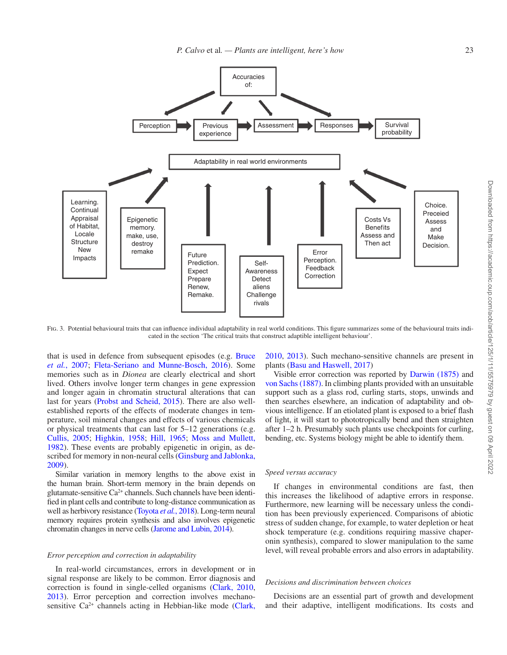

<span id="page-12-0"></span>FIG. 3. Potential behavioural traits that can influence individual adaptability in real world conditions. This figure summarizes some of the behavioural traits indicated in the section 'The critical traits that construct adaptible intelligent behaviour'.

that is used in defence from subsequent episodes (e.g. [Bruce](#page-14-42) *et al.*[, 2007](#page-14-42); [Fleta-Seriano and Munne-Bosch, 2016](#page-15-31)). Some memories such as in *Dionea* are clearly electrical and short lived. Others involve longer term changes in gene expression and longer again in chromatin structural alterations that can last for years [\(Probst and Scheid, 2015](#page-16-56)). There are also wellestablished reports of the effects of moderate changes in temperature, soil mineral changes and effects of various chemicals or physical treatments that can last for 5–12 generations (e.g. [Cullis, 2005;](#page-14-44) [Highkin, 1958;](#page-15-49) [Hill, 1965](#page-15-50); [Moss and Mullett,](#page-16-57) [1982](#page-16-57)). These events are probably epigenetic in origin, as de-scribed for memory in non-neural cells [\(Ginsburg and Jablonka,](#page-15-51) [2009](#page-15-51)).

Similar variation in memory lengths to the above exist in the human brain. Short-term memory in the brain depends on glutamate-sensitive Ca2+ channels. Such channels have been identified in plant cells and contribute to long-distance communication as well as herbivory resistance [\(Toyota](#page-17-55) *et al.*, 2018). Long-term neural memory requires protein synthesis and also involves epigenetic chromatin changes in nerve cells [\(Jarome and Lubin, 2014\)](#page-16-58).

### *Error perception and correction in adaptability*

In real-world circumstances, errors in development or in signal response are likely to be common. Error diagnosis and correction is found in single-celled organisms ([Clark, 2010](#page-14-7), [2013](#page-14-8)). Error perception and correction involves mechanosensitive  $Ca^{2+}$  channels acting in Hebbian-like mode ([Clark,](#page-14-7) [2010](#page-14-7), [2013\)](#page-14-8). Such mechano-sensitive channels are present in plants [\(Basu and Haswell, 2017](#page-14-45))

Visible error correction was reported by [Darwin \(1875\)](#page-15-52) and [von Sachs \(1887\).](#page-16-59) In climbing plants provided with an unsuitable support such as a glass rod, curling starts, stops, unwinds and then searches elsewhere, an indication of adaptability and obvious intelligence. If an etiolated plant is exposed to a brief flash of light, it will start to phototropically bend and then straighten after 1–2 h. Presumably such plants use checkpoints for curling, bending, etc. Systems biology might be able to identify them.

#### *Speed versus accuracy*

If changes in environmental conditions are fast, then this increases the likelihood of adaptive errors in response. Furthermore, new learning will be necessary unless the condition has been previously experienced. Comparisons of abiotic stress of sudden change, for example, to water depletion or heat shock temperature (e.g. conditions requiring massive chaperonin synthesis), compared to slower manipulation to the same level, will reveal probable errors and also errors in adaptability.

#### *Decisions and discrimination between choices*

Decisions are an essential part of growth and development and their adaptive, intelligent modifications. Its costs and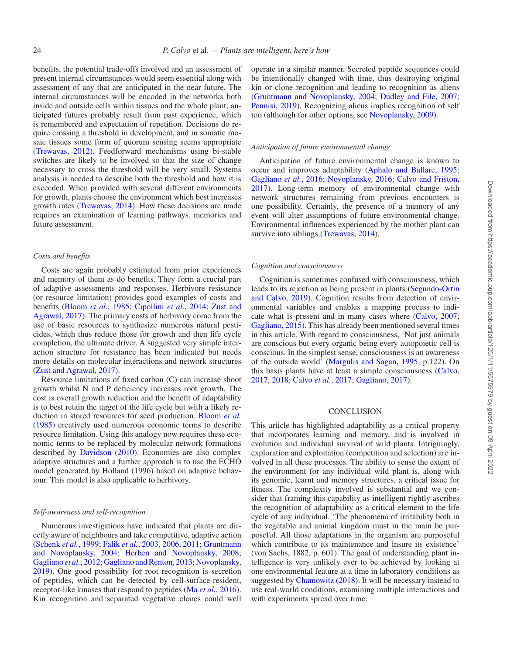benefits, the potential trade-offs involved and an assessment of present internal circumstances would seem essential along with assessment of any that are anticipated in the near future. The internal circumstances will be encoded in the networks both inside and outside cells within tissues and the whole plant; anticipated futures probably result from past experience, which is remembered and expectation of repetition. Decisions do require crossing a threshold in development, and in somatic mosaic tissues some form of quorum sensing seems appropriate [\(Trewavas, 2012\)](#page-17-56). Feedforward mechanisms using bi-stable switches are likely to be involved so that the size of change necessary to cross the threshold will be very small. Systems analysis is needed to describe both the threshold and how it is exceeded. When provided with several different environments for growth, plants choose the environment which best increases growth rates [\(Trewavas, 2014\)](#page-17-4). How these decisions are made requires an examination of learning pathways, memories and future assessment.

#### *Costs and benefits*

Costs are again probably estimated from prior experiences and memory of them as do benefits. They form a crucial part of adaptive assessments and responses. Herbivore resistance (or resource limitation) provides good examples of costs and benefits [\(Bloom](#page-14-46) *et al.*, 1985; [Cipollini](#page-14-47) *et al.*, 2014; [Zust and](#page-17-57)  [Agrawal, 2017](#page-17-57)). The primary costs of herbivory come from the use of basic resources to synthesize numerous natural pesticides, which thus reduce those for growth and then life cycle completion, the ultimate driver. A suggested very simple interaction structure for resistance has been indicated but needs more details on molecular interactions and network structures [\(Zust and Agrawal, 2017](#page-17-57)).

Resource limitations of fixed carbon (C) can increase shoot growth whilst N and P deficiency increases root growth. The cost is overall growth reduction and the benefit of adaptability is to best retain the target of the life cycle but with a likely reduction in stored resources for seed production. [Bloom](#page-14-46) *et al.* [\(1985\)](#page-14-46) creatively used numerous economic terms to describe resource limitation. Using this analogy now requires these economic terms to be replaced by molecular network formations described by [Davidson \(2010\)](#page-15-14). Economies are also complex adaptive structures and a further approach is to use the ECHO model generated by Holland (1996) based on adaptive behaviour. This model is also applicable to herbivory.

#### *Self-awareness and self-recognition*

Numerous investigations have indicated that plants are directly aware of neighbours and take competitive, adaptive action [\(Schenk](#page-17-33) *et al.*, 1999; Falik *et al.*[, 2003,](#page-15-53) [2006](#page-15-54), [2011;](#page-15-55) [Gruntmann](#page-15-56)  [and Novoplansky, 2004;](#page-15-56) [Herben and Novoplansky, 2008;](#page-15-57) [Gagliano](#page-15-58) *et al.*, 2012; [Gagliano and Renton, 2013;](#page-15-59) [Novoplansky,](#page-16-34)  [2019\)](#page-16-34). One good possibility for root recognition is secretion of peptides, which can be detected by cell-surface-resident, receptor-like kinases that respond to peptides (Ma *et al.*[, 2016\)](#page-16-60). Kin recognition and separated vegetative clones could well

operate in a similar manner. Secreted peptide sequences could be intentionally changed with time, thus destroying original kin or clone recognition and leading to recognition as aliens ([Gruntmann and Novoplansky, 2004;](#page-15-56) [Dudley and File, 2007](#page-15-60); [Pennisi, 2019\)](#page-16-61). Recognizing aliens implies recognition of self too (although for other options, see [Novoplansky, 2009\)](#page-16-31).

# *Anticipation of future environmental change*

Anticipation of future environmental change is known to occur and improves adaptability [\(Aphalo and Ballare, 1995](#page-14-48); [Gagliano](#page-16-62) *et al.*, 2016; [Novoplansky, 2016;](#page-15-44) [Calvo and Friston,](#page-14-49)  [2017\)](#page-14-49). Long-term memory of environmental change with network structures remaining from previous encounters is one possibility. Certainly, the presence of a memory of any event will alter assumptions of future environmental change. Environmental influences experienced by the mother plant can survive into siblings [\(Trewavas, 2014\)](#page-17-4).

#### *Cognition and consciousness*

Cognition is sometimes confused with consciousness, which leads to its rejection as being present in plants ([Segundo-Ortin](#page-17-58) [and Calvo, 2019\)](#page-17-58). Cognition results from detection of environmental variables and enables a mapping process to indicate what is present and in many cases where [\(Calvo, 2007](#page-14-50); [Gagliano, 2015\)](#page-15-61). This has already been mentioned several times in this article. With regard to consciousness, 'Not just animals are conscious but every organic being every autopoietic cell is conscious. In the simplest sense, consciousness is an awareness of the outside world' ([Margulis and Sagan, 1995,](#page-16-14) p.122). On this basis plants have at least a simple consciousness ([Calvo,](#page-14-40)  [2017,](#page-14-40) [2018](#page-14-51); [Calvo](#page-14-40) *et al.*, 2017; [Gagliano, 2017\)](#page-15-62).

## **CONCLUSION**

This article has highlighted adaptability as a critical property that incorporates learning and memory, and is involved in evolution and individual survival of wild plants. Intriguingly, exploration and exploitation (competition and selection) are involved in all these processes. The ability to sense the extent of the environment for any individual wild plant is, along with its genomic, learnt and memory structures, a critical issue for fitness. The complexity involved is substantial and we consider that framing this capability as intelligent rightly ascribes the recognition of adaptability as a critical element to the life cycle of any individual. 'The phenomena of irritability both in the vegetable and animal kingdom must in the main be purposeful. All those adaptations in the organism are purposeful which contribute to its maintenance and insure its existence' (von Sachs, 1882, p. 601). The goal of understanding plant intelligence is very unlikely ever to be achieved by looking at one environmental feature at a time in laboratory conditions as suggested by [Chamowitz \(2018\)](#page-14-1). It will be necessary instead to use real-world conditions, examining multiple interactions and with experiments spread over time.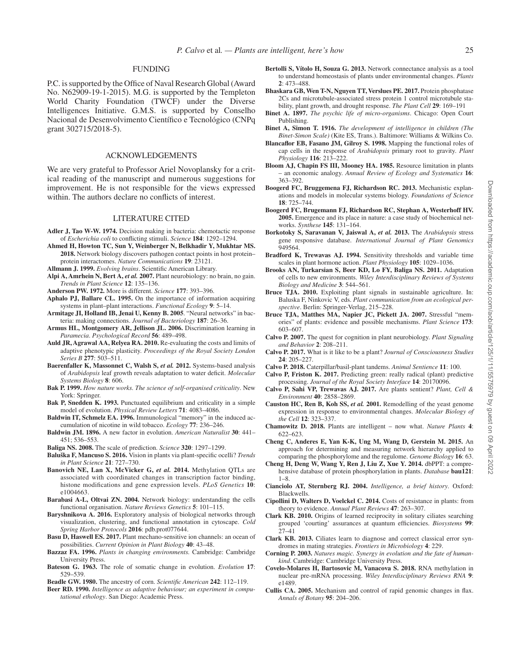### FUNDING

P.C. is supported by the Office of Naval Research Global (Award No. N62909-19-1-2015). M.G. is supported by the Templeton World Charity Foundation (TWCF) under the Diverse Intelligences Initiative. G.M.S. is supported by Conselho Nacional de Desenvolvimento Científico e Tecnológico (CNPq grant 302715/2018-5).

### ACKNOWLEDGEMENTS

We are very grateful to Professor Ariel Novoplansky for a critical reading of the manuscript and numerous suggestions for improvement. He is not responsible for the views expressed within. The authors declare no conflicts of interest.

#### LITERATURE CITED

- <span id="page-14-9"></span>**Adler J, Tao W-W. 1974.** Decision making in bacteria: chemotactic response of *Escherichia coli* to conflicting stimuli. *Science* **184**: 1292–1294.
- <span id="page-14-38"></span>**Ahmed H, Howton TC, Sun Y, Weinberger N, Belkhadir Y, Mukhtar MS. 2018.** Network biology discovers pathogen contact points in host protein– protein interactomes. *Nature Communications* **19**: 23121.
- <span id="page-14-10"></span>**Allmann J. 1999.** *Evolving brains*. Scientific American Library.
- <span id="page-14-0"></span>**Alpi A, Amrhein N, Bert A,** *et al.* **2007.** Plant neurobiology: no brain, no gain. *Trends in Plant Science* **12**: 135–136.
- <span id="page-14-13"></span>**Anderson PW. 1972.** More is different. *Science* **177**: 393–396.
- <span id="page-14-48"></span>**Aphalo PJ, Ballare CL. 1995.** On the importance of information acquiring systems in plant–plant interactions. *Functional Ecology* **9**: 5–14.
- <span id="page-14-11"></span>**Armitage JI, Holland IB, Jenai U, Kenny B. 2005**. "Neural networks" in bacteria: making connections. *Journal of Bacteriology* **187**: 26–36.
- <span id="page-14-6"></span>**Armus HL, Montgomery AR, Jellison JL. 2006.** Discrimination learning in *Paramecia*. *Psychological Record* **56**: 489–498.
- <span id="page-14-24"></span>**Auld JR, Agrawal AA, Relyea RA. 2010.** Re-evaluating the costs and limits of adaptive phenotypic plasticity. *Proceedings of the Royal Society London Series B* **277**: 503–511.
- <span id="page-14-29"></span>**Baerenfaller K, Massonnet C, Walsh S,** *et al.* **2012.** Systems-based analysis of *Arabidopsis* leaf growth reveals adaptation to water deficit. *Molecular Systems Biology* **8**: 606.
- <span id="page-14-36"></span>**Bak P. 1999.** *How nature works. The science of self-organised criticality*. New York: Springer.
- <span id="page-14-35"></span>**Bak P, Snedden K. 1993.** Punctuated equilibrium and criticality in a simple model of evolution. *Physical Review Letters* **71**: 4083–4086.
- <span id="page-14-43"></span>**Baldwin IT, Schmelz EA. 1996.** Immunological "memory" in the induced accumulation of nicotine in wild tobacco. *Ecology* **77**: 236–246.
- <span id="page-14-20"></span>**Baldwin JM. 1896.** A new factor in evolution. *American Naturalist* **30**: 441– 451; 536–553.
- <span id="page-14-15"></span>**Baliga NS. 2008.** The scale of prediction. *Science* **320**: 1297–1299.
- <span id="page-14-19"></span>**Baluška F, Mancuso S. 2016.** Vision in plants via plant-specific ocelli? *Trends in Plant Science* **21**: 727–730.
- <span id="page-14-31"></span>**Banovich NE, Lan X, McVicker G,** *et al.* **2014.** Methylation QTLs are associated with coordinated changes in transcription factor binding, histone modifications and gene expression levels. *PLoS Genetics* **10**: e1004663.
- <span id="page-14-16"></span>**Barabasi A-L, Oltvai ZN. 2004.** Network biology: understanding the cells functional organisation. *Nature Reviews Genetics* **5**: 101–115.
- <span id="page-14-37"></span>**Baryshnikova A. 2016.** Exploratory analysis of biological networks through visualization, clustering, and functional annotation in cytoscape. *Cold Spring Harbor Protocols* **2016**: pdb.prot077644.
- <span id="page-14-45"></span>**Basu D, Haswell ES. 2017.** Plant mechano-sensitive ion channels: an ocean of possibilities. *Current Opinion in Plant Biology* **40**: 43–48.
- <span id="page-14-2"></span>**Bazzaz FA. 1996.** *Plants in changing environments.* Cambridge: Cambridge University Press.
- <span id="page-14-22"></span>**Bateson G. 1963.** The role of somatic change in evolution. *Evolution* **17**: 529–539.
- <span id="page-14-23"></span>**Beadle GW. 1980.** The ancestry of corn. *Scientific American* **242**: 112–119.
- <span id="page-14-3"></span>**Beer RD. 1990.** *Intelligence as adaptive behaviour; an experiment in computational ethology*. San Diego: Academic Press.
- <span id="page-14-39"></span>**Bertolli S, Vítolo H, Souza G. 2013.** Network connectance analysis as a tool to understand homeostasis of plants under environmental changes. *Plants* **2**: 473–488.
- <span id="page-14-33"></span>**Bhaskara GB, Wen T-N, Nguyen TT, Verslues PE. 2017.** Protein phosphatase 2Cs and microtubule-associated stress protein 1 control microtubule stability, plant growth, and drought response. *The Plant Cell* **29**: 169–191
- <span id="page-14-5"></span>**Binet A. 1897.** *The psychic life of micro-organisms*. Chicago: Open Court Publishing.
- <span id="page-14-4"></span>**Binet A, Simon T. 1916.** *The development of intelligence in children (The Binet-Simon Scale)* (Kite ES, Trans.). Baltimore: Williams & Wilkins Co.
- <span id="page-14-18"></span>**Blancaflor EB, Fasano JM, Gilroy S. 1998.** Mapping the functional roles of cap cells in the response of *Arabidopsis* primary root to gravity. *Plant Physiology* **116**: 213–222.
- <span id="page-14-46"></span>**Bloom AJ, Chapin FS III, Mooney HA. 1985.** Resource limitation in plants – an economic analogy. *Annual Review of Ecology and Systematics* **16**: 363–392.
- <span id="page-14-41"></span>**Boogerd FC, Bruggemena FJ, Richardson RC. 2013.** Mechanistic explanations and models in molecular systems biology. *Foundations of Science* **18**: 725–744.
- <span id="page-14-14"></span>**Boogerd FC, Brugemann FJ, Richardson RC, Stephan A, Westerhoff HV. 2005.** Emergence and its place in nature: a case study of biochemical networks. *Synthese* **145**: 131–164.
- <span id="page-14-28"></span>**Borkotoky S, Saravanan V, Jaiswal A,** *et al.* **2013.** The *Arabidopsis* stress gene responsive database. *International Journal of Plant Genomics* 949564.
- <span id="page-14-17"></span>**Bradford K, Trewavas AJ. 1994.** Sensitivity thresholds and variable time scales in plant hormone action. *Plant Physiology* **105**: 1029–1036.
- <span id="page-14-27"></span>**Brooks AN, Turkarsian S, Beer KD, Lo FY, Baliga NS. 2011.** Adaptation of cells to new environments. *Wiley Interdisciplinary Reviews of Systems Biology and Medicine* **3**: 544–561.
- <span id="page-14-12"></span>**Bruce TJA. 2010.** Exploiting plant signals in sustainable agriculture. In: Baluska F, Ninkovic V, eds. *Plant communication from an ecological perspective*. Berlin: Springer-Verlag, 215–228.
- <span id="page-14-42"></span>**Bruce TJA, Matthes MA, Napier JC, Pickett JA. 2007.** Stressful "memories" of plants: evidence and possible mechanisms. *Plant Science* **173**: 603–607.
- <span id="page-14-50"></span>**Calvo P. 2007.** The quest for cognition in plant neurobiology. *Plant Signaling and Behavior* **2**: 208–211.
- **Calvo P. 2017.** What is it like to be a plant? *Journal of Consciousness Studies* **24**: 205–227.
- <span id="page-14-51"></span>**Calvo P. 2018.** Caterpillar/basil-plant tandems. *Animal Sentience* **11**: 100.
- <span id="page-14-49"></span>**Calvo P, Friston K. 2017.** Predicting green: really radical (plant) predictive processing. *Journal of the Royal Society Interface* **14**: 20170096.
- <span id="page-14-40"></span>**Calvo P, Sahi VP, Trewavas AJ. 2017.** Are plants sentient? *Plant, Cell & Environment* **40**: 2858–2869.
- <span id="page-14-26"></span>**Causton HC, Ren B, Koh SS,** *et al.* **2001.** Remodelling of the yeast genome expression in response to environmental changes. *Molecular Biology of the Cell* **12**: 323–337.
- <span id="page-14-1"></span>**Chamowitz D. 2018.** Plants are intelligent – now what. *Nature Plants* **4**: 622–623.
- <span id="page-14-34"></span>**Cheng C, Anderes E, Yan K-K, Ung M, Wang D, Gerstein M. 2015.** An approach for determining and measuring network hierarchy applied to comparing the phosphorylome and the regulome. *Genome Biology* **16**: 63.
- <span id="page-14-32"></span>**Cheng H, Deng W, Wang Y, Ren J, Liu Z, Xue Y. 2014.** dbPPT: a comprehensive database of protein phosphorylation in plants. *Database* **bau121**: 1–8.
- <span id="page-14-25"></span>**Cianciolo AT, Sternberg RJ. 2004.** *Intelligence, a brief history*. Oxford: Blackwells.
- <span id="page-14-47"></span>**Cipollini D, Walters D, Voelckel C. 2014.** Costs of resistance in plants: from theory to evidence. *Annual Plant Reviews* **47**: 263–307.
- <span id="page-14-7"></span>**Clark KB. 2010.** Origins of learned reciprocity in solitary ciliates searching grouped 'courting' assurances at quantum efficiencies. *Biosystems* **99**: 27–41
- <span id="page-14-8"></span>**Clark KB. 2013.** Ciliates learn to diagnose and correct classical error syndromes in mating strategies. *Frontiers in Microbiology* **4**: 229.
- <span id="page-14-21"></span>**Corning P. 2003.** *Natures magic. Synergy in evolution and the fate of humankind*. Cambridge: Cambridge University Press.
- <span id="page-14-30"></span>**Covelo-Molares H, Bartosovic M, Vanacova S. 2018.** RNA methylation in nuclear pre-mRNA processing. *Wiley Interdisciplinary Reviews RNA* **9**: e1489.
- <span id="page-14-44"></span>**Cullis CA. 2005.** Mechanism and control of rapid genomic changes in flax. *Annals of Botany* **95**: 204–206.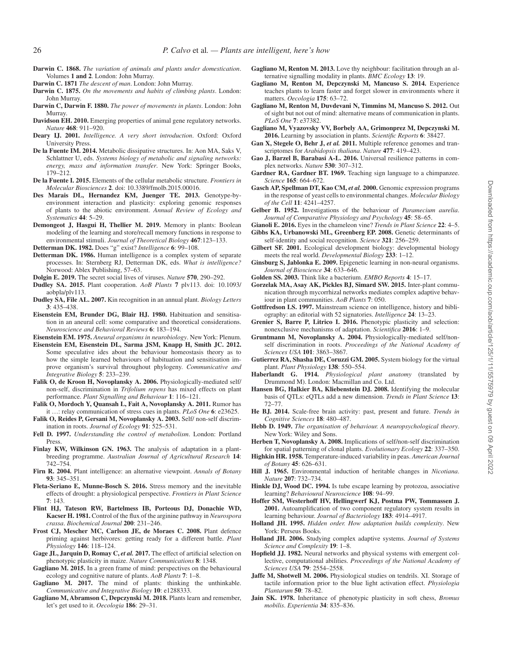- <span id="page-15-22"></span>**Darwin C. 1868.** *The variation of animals and plants under domestication*. Volumes **1 and 2**. London: John Murray.
- <span id="page-15-10"></span>**Darwin C. 1871** *The descent of man*. London: John Murray.
- <span id="page-15-52"></span>**Darwin C. 1875.** *On the movements and habits of climbing plants*. London: John Murray.
- <span id="page-15-21"></span>**Darwin C, Darwin F. 1880.** *The power of movements in plants*. London: John Murray.
- <span id="page-15-14"></span>**Davidson EH. 2010.** Emerging properties of animal gene regulatory networks. *Nature* **468**: 911–920.
- <span id="page-15-2"></span>**Deary IJ. 2001.** *Intelligence. A very short introduction*. Oxford: Oxford University Press.
- **De la Fuente IM. 2014.** Metabolic dissipative structures. In: Aon MA, Saks V, Schlattner U, eds. *Systems biology of metabolic and signaling networks: energy, mass and information transfer*. New York: Springer Books, 179–212.
- <span id="page-15-13"></span>**De la Fuente I. 2015.** Elements of the cellular metabolic structure. *Frontiers in Molecular Biosciences* **2**. doi: 10.3389/fmolb.2015.00016.
- <span id="page-15-34"></span>**Des Marais DL, Hernandez KM, Juenger TE. 2013.** Genotype-byenvironment interaction and plasticity: exploring genomic responses of plants to the abiotic environment. *Annual Review of Ecology and Systematics* **44**: 5–29.
- <span id="page-15-16"></span>**Demongeot J, Hasgui H, Thellier M. 2019.** Memory in plants: Boolean modeling of the learning and store/recall memory functions in response to environmental stimuli. *Journal of Theoretical Biology* **467**:123–133.
- <span id="page-15-26"></span>**Detterman DK. 1982.** Does "g" exist? *Intelligence* **6**: 99–108.
- <span id="page-15-27"></span>**Detterman DK. 1986.** Human intelligence is a complex system of separate processes. In: Sternberg RJ, Detterman DK, eds. *What is intelligence?* Norwood: Ablex Publishing, 57–63.
- <span id="page-15-9"></span>**Dolgin E. 2019.** The secret social lives of viruses. *Nature* **570**, 290–292.
- <span id="page-15-11"></span>**Dudley SA. 2015.** Plant cooperation. *AoB Plants* **7** plv113. doi: 10.1093/ aobpla/plv113.
- <span id="page-15-60"></span>**Dudley SA, File AL. 2007.** Kin recognition in an annual plant. *Biology Letters* **3**: 435–438.
- <span id="page-15-40"></span>**Eisenstein EM, Brunder DG, Blair HJ. 1980.** Habituation and sensitisation in an aneural cell: some comparative and theoretical considerations. *Neuroscience and Behavioral Reviews* **6**: 183–194.
- <span id="page-15-37"></span>**Eisenstein EM. 1975.** *Aneural organisms in neurobiology*. New York: Plenum.
- <span id="page-15-43"></span>**Eisenstein EM, Eisenstein DL, Sarma JSM, Knapp H, Smith JC. 2012.**  Some speculative ides about the behaviour homeostasis theory as to how the simple learned behaviours of habituation and sensitisation improve organism's survival throughout phylogeny. *Communicative and Integrative Biology* **5**: 233–239.
- <span id="page-15-54"></span>**Falik O, de Kroon H, Novoplansky A. 2006.** Physiologically-mediated self/ non-self, discrimination in *Trifolium repens* has mixed effects on plant performance. *Plant Signalling and Behaviour* **1**: 116–121.
- <span id="page-15-55"></span>**Falik O, Mordoch Y, Quansah L, Fait A, Novoplansky A. 2011.** Rumor has it …: relay communication of stress cues in plants. *PLoS One* **6**: e23625.
- <span id="page-15-53"></span>**Falik O, Reides P, Gersani M, Novoplansky A. 2003.** Self/ non-self discrimination in roots. *Journal of Ecology* **91**: 525–531.
- <span id="page-15-33"></span>**Fell D. 1997.** *Understanding the control of metabolism*. London: Portland Press.
- <span id="page-15-24"></span>**Finlay KW, Wilkinson GN. 1963.** The analysis of adaptation in a plantbreeding programme. *Australian Journal of Agricultural Research* **14**: 742–754.
- <span id="page-15-0"></span>**Firn R. 2004.** Plant intelligence: an alternative viewpoint. *Annals of Botany* **93**: 345–351.
- <span id="page-15-31"></span>**Fleta-Seriano E, Munne-Bosch S. 2016.** Stress memory and the inevitable effects of drought: a physiological perspective. *Frontiers in Plant Science* **7**: 143.
- <span id="page-15-32"></span>**Flint HJ, Tateson RW, Bartelmess IB, Porteous DJ, Donachie WD, Kacser H. 1981.** Control of the flux of the arginine pathway in *Neurospora crassa*. *Biochemical Journal* **200**: 231–246.
- <span id="page-15-46"></span>**Frost CJ, Mescher MC, Carlson JE, de Moraes C. 2008.** Plant defence priming against herbivores: getting ready for a different battle. *Plant Physiology* **146**: 118–124.
- <span id="page-15-25"></span>**Gage JL, Jarquin D, Romay C,** *et al.* **2017.** The effect of artificial selection on phenotypic plasticity in maize. *Nature Communications* **8**: 1348.
- <span id="page-15-61"></span>**Gagliano M. 2015.** In a green frame of mind: perspectives on the behavioural ecology and cognitive nature of plants. *AoB Plants* **7**: 1–8.
- <span id="page-15-62"></span>**Gagliano M. 2017.** The mind of plants: thinking the unthinkable. *Communicative and Integrative Biology* **10**: e1288333.
- <span id="page-15-42"></span>**Gagliano M, Abramson C, Depczynski M. 2018.** Plants learn and remember, let's get used to it. *Oecologia* **186**: 29–31.
- <span id="page-15-59"></span>**Gagliano M, Renton M. 2013.** Love thy neighbour: facilitation through an alternative signalling modality in plants. *BMC Ecology* **13**: 19.
- <span id="page-15-41"></span>**Gagliano M, Renton M, Depczynski M, Mancuso S. 2014.** Experience teaches plants to learn faster and forget slower in environments where it matters. *Oecologia* **175**: 63–72.
- <span id="page-15-58"></span>**Gagliano M, Renton M, Duvdevani N, Timmins M, Mancuso S. 2012.** Out of sight but not out of mind: alternative means of communication in plants. *PLoS One* **7**: e37382.
- <span id="page-15-44"></span>**Gagliano M, Vyazovsky VV, Borbely AA, Grimonprez M, Depczynski M. 2016.** Learning by association in plants. *Scientific Reports* **6**: 38427.
- <span id="page-15-15"></span>Gan X, Stegele O, Behr J, et al. 2011. Multiple reference genomes and transcriptomes for *Arabidopsis thaliana*. *Nature* **477**: 419–423.
- <span id="page-15-48"></span>**Gao J, Barzel B, Barabasi A-L. 2016.** Universal resilience patterns in complex networks. *Nature* **530**: 307–312.
- <span id="page-15-20"></span>**Gardner RA, Gardner BT. 1969.** Teaching sign language to a chimpanzee. *Science* **165**: 664–672.
- <span id="page-15-30"></span>**Gasch AP, Spellman DT, Kao CM,** *et al.* **2000.** Genomic expression programs in the response of yeast cells to environmental changes. *Molecular Biology of the Cell* **11**: 4241–4257.
- <span id="page-15-4"></span>**Gelber B. 1952.** Investigations of the behaviour of *Paramecium aurelia*. *Journal of Comparative Physiology and Psychology* **45**: 58–65.
- <span id="page-15-19"></span><span id="page-15-7"></span>**Gianoli E. 2016.** Eyes in the chameleon vine? *Trends in Plant Science* **22**: 4–5. **Gibbs KA, Urbanowski ML, Greenberg EP. 2008.** Genetic determinants of
- <span id="page-15-1"></span>self-identity and social recognition. *Science* **321**: 256–259. **Gilbert SF. 2001.** Ecological development biology: developmental biology meets the real world. *Developmental Biology* **233**: 1–12.
- <span id="page-15-51"></span>**Ginsburg S, Jablonka E. 2009.** Epigenetic learning in non-neural organisms. *Journal of Bioscience* **34**: 633–646.
- <span id="page-15-8"></span>**Golden SS. 2003.** Think like a bacterium. *EMBO Reports* **4**: 15–17.
- <span id="page-15-23"></span>**Gorzelak MA, Asay AK, Pickles BJ, Simard SW. 2015.** Inter-plant communication through mycorrhizal networks mediates complex adaptive behaviour in plant communities. *AoB Plants* **7**: 050.
- <span id="page-15-3"></span>**Gottfredson LS. 1997.** Mainstream science on intelligence, history and bibliography: an editorial with 52 signatories. *Intelligence* **24**: 13–23.
- <span id="page-15-29"></span>**Grenier S, Barre P, Litrico I. 2016.** Phenotypic plasticity and selection: nonexclusive mechanisms of adaptation. *Scientifica* **2016**: 1–9.
- <span id="page-15-56"></span>**Gruntmann M, Novoplansky A. 2004.** Physiologically-mediated self/nonself discrimination in roots. *Proceedings of the National Academy of Sciences USA* **101**: 3863–3867.
- <span id="page-15-39"></span>**Gutierrez RA, Shasha DE, Coruzzi GM. 2005.** System biology for the virtual plant. *Plant Physiology* **138**: 550–554.
- <span id="page-15-18"></span>**Haberlandt G. 1914.** *Physiological plant anatomy* (translated by Drummond M). London: Macmillan and Co. Ltd.
- <span id="page-15-35"></span>**Hansen BG, Halkier BA, Kliebenstein DJ. 2008.** Identifying the molecular basis of QTLs: eQTLs add a new dimension. *Trends in Plant Science* **13**: 72–77.
- <span id="page-15-36"></span>**He BJ. 2014.** Scale-free brain activity: past, present and future. *Trends in Cognitive Sciences* **18**: 480–487.
- <span id="page-15-47"></span>**Hebb D. 1949.** *The organisation of behaviour. A neuropsychological theory*. New York: Wiley and Sons.
- <span id="page-15-57"></span>**Herben T, Novoplansky A. 2008.** Implications of self/non-self discrimination for spatial patterning of clonal plants. *Evolutionary Ecology* **22**: 337–350.
- <span id="page-15-49"></span>**Highkin HR. 1958.** Temperature-induced variability in peas. *American Journal of Botany* **45**: 626–631.
- <span id="page-15-50"></span>**Hill J. 1965.** Environmental induction of heritable changes in *Nicotiana*. *Nature* **207**: 732–734.
- <span id="page-15-5"></span>**Hinkle DJ, Wood DC. 1994.** Is tube escape learning by protozoa, associative learning? *Behavioural Neuroscience* **108**: 94–99.
- <span id="page-15-6"></span>**Hoffer SM, Westerhoff HV, Hellingwerf KJ, Postma PW, Tommassen J. 2001.** Autoamplification of two component regulatory system results in learning behaviour. *Journal of Bacteriology* **183**: 4914–4917.
- <span id="page-15-12"></span>**Holland JH. 1995.** *Hidden order. How adaptation builds complexity*. New York: Perseus Books.
- <span id="page-15-17"></span>**Holland JH. 2006.** Studying complex adaptive systems. *Journal of Systems Science and Complexity* **19**: 1–8.
- <span id="page-15-38"></span>**Hopfield JJ. 1982.** Neural networks and physical systems with emergent collective, computational abilities. *Proceedings of the National Academy of Sciences USA* **79**: 2554–2558.
- <span id="page-15-45"></span>**Jaffe M, Shotwell M. 2006.** Physiological studies on tendrils. XI. Storage of tactile information prior to the blue light activation effect. *Physiologia Plantarum* **50**: 78–82.
- <span id="page-15-28"></span>**Jain SK. 1978.** Inheritance of phenotypic plasticity in soft chess, *Bromus mobilis*. *Experientia* **34**: 835–836.

Downloaded from https://academic.oup.com/aob/article/125/1/11/5575979 by guest on 09 April 2022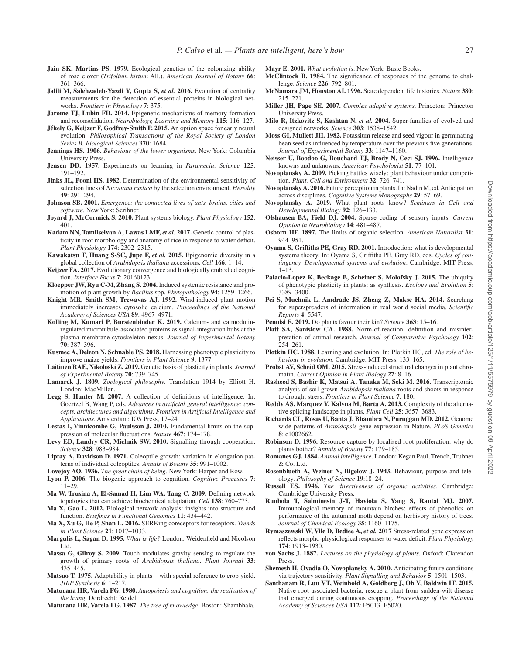- <span id="page-16-40"></span>**Jain SK, Martins PS. 1979.** Ecological genetics of the colonizing ability of rose clover (*Trifolium hirtum* All.). *American Journal of Botany* **66**: 361–366.
- <span id="page-16-49"></span>**Jalili M, Salehzadeh-Yazdi Y, Gupta S,** *et al.* **2016.** Evolution of centrality measurements for the detection of essential proteins in biological networks. *Frontiers in Physiology* **7**: 375.
- <span id="page-16-58"></span>**Jarome TJ, Lubin FD. 2014.** Epigenetic mechanisms of memory formation and reconsolidation. *Neurobiology, Learning and Memory* **115**: 116–127.
- <span id="page-16-8"></span>**Jékely G, Keijzer F, Godfrey-Smith P. 2015.** An option space for early neural evolution. *Philosophical Transactions of the Royal Society of London Series B. Biological Sciences* **370**: 1684.
- <span id="page-16-12"></span>**Jennings HS. 1906.** *Behaviour of the lower organisms*. New York: Columbia University Press.
- <span id="page-16-13"></span>**Jensen DD. 1957.** Experiments on learning in *Paramecia*. *Science* **125**: 191–192.
- <span id="page-16-41"></span>**Jinks JL, Pooni HS. 1982.** Determination of the environmental sensitivity of selection lines of *Nicotiana rustica* by the selection environment. *Heredity* **49**: 291–294.
- <span id="page-16-48"></span>**Johnson SB. 2001.** *Emergence: the connected lives of ants, brains, cities and software*. New York: Scribner.
- <span id="page-16-51"></span>**Joyard J, McCormick S. 2010.** Plant systems biology. *Plant Physiology* **152**: 401.
- <span id="page-16-47"></span>Kadam NN, Tamilselvan A, Lawas LMF, et al. 2017. Genetic control of plasticity in root morphology and anatomy of rice in response to water deficit. *Plant Physiology* **174**: 2302–2315.
- <span id="page-16-22"></span>**Kawakatsu T, Huang S-SC, Jupe F,** *et al.* **2015.** Epigenomic diversity in a global collection of *Arabidopsis thaliana* accessions. *Cell* **166**: 1–14.
- <span id="page-16-9"></span>**Keijzer FA. 2017.** Evolutionary convergence and biologically embodied cognition. *Interface Focus* **7**: 20160123.
- <span id="page-16-32"></span>**Kloepper JW, Ryu C-M, Zhang S. 2004.** Induced systemic resistance and promotion of plant growth by *Bacillus* spp. *Phytopathology* **94**: 1259–1266.
- <span id="page-16-52"></span>**Knight MR, Smith SM, Trewavas AJ. 1992.** Wind-induced plant motion immediately increases cytosolic calcium. *Proceedings of the National Academy of Sciences USA* **89**: 4967–4971.
- <span id="page-16-42"></span>**Kolling M, Kumari P, Burstenbinder K. 2019.** Calcium- and calmodulinregulated microtubule-associated proteins as signal-integration hubs at the plasma membrane-cytoskeleton nexus. *Journal of Experimental Botany* **70**: 387–396.
- <span id="page-16-38"></span>**Kusmec A, Deleon N, Schnable PS. 2018.** Harnessing phenotypic plasticity to improve maize yields. *Frontiers in Plant Science* **9**: 1377.
- <span id="page-16-43"></span>**Laitinen RAE, Nikoloski Z. 2019.** Genetic basis of plasticity in plants. *Journal of Experimental Botany* **70**: 739–745.
- <span id="page-16-37"></span>**Lamarck J. 1809.** *Zoological philosophy*. Translation 1914 by Elliott H. London: MacMillan.
- <span id="page-16-2"></span>**Legg S, Hunter M. 2007.** A collection of definitions of intelligence. In: Goertzel B, Wang P, eds. *Advances in artificial general intelligence: concepts, architectures and algorithms. Frontiers in Artificial Intelligence and Applications*. Amsterdam: IOS Press, 17–24.
- <span id="page-16-18"></span>**Lestas I, Vinnicombe G, Paulsson J. 2010.** Fundamental limits on the suppression of molecular fluctuations. *Nature* **467**: 174–178.
- <span id="page-16-24"></span>**Levy ED, Landry CR, Michnik SW. 2010.** Signalling through cooperation. *Science* **328**: 983–984.
- <span id="page-16-1"></span>**Liptay A, Davidson D. 1971.** Coleoptile growth: variation in elongation patterns of individual coleoptiles. *Annals of Botany* **35**: 991–1002.
- <span id="page-16-10"></span>**Lovejoy AO. 1936.** *The great chain of being.* New York: Harper and Row.
- <span id="page-16-11"></span>**Lyon P. 2006.** The biogenic approach to cognition. *Cognitive Processes* **7**: 11–29.
- <span id="page-16-55"></span>**Ma W, Trusina A, El-Samad H, Lim WA, Tang C. 2009.** Defining network topologies that can achieve biochemical adaptation. *Cell* **138**: 760–773.
- <span id="page-16-20"></span>**Ma X, Gao L. 2012.** Biological network analysis: insights into structure and function. *Briefings in Functional Genomics* **11**: 434–442.
- <span id="page-16-60"></span>**Ma X, Xu G, He P, Shan L. 2016.** SERKing coreceptors for receptors. *Trends in Plant Science* **21**: 1017–1033.
- <span id="page-16-14"></span>**Margulis L, Sagan D. 1995.** *What is life?* London: Weidenfield and Nicolson Ltd.
- <span id="page-16-26"></span>**Massa G, Gilroy S. 2009.** Touch modulates gravity sensing to regulate the growth of primary roots of *Arabidopsis thaliana*. *Plant Journal* **33**: 435–445.
- <span id="page-16-15"></span>**Matsuo T. 1975.** Adaptability in plants – with special reference to crop yield. *JIBP Synthesis* **6**: 1–217.
- <span id="page-16-27"></span>**Maturana HR, Varela FG. 1980.** *Autopoiesis and cognition: the realization of the living*. Dordrecht: Reidel.
- <span id="page-16-28"></span>**Maturana HR, Varela FG. 1987.** *The tree of knowledge*. Boston: Shambhala.

<span id="page-16-0"></span>**Mayr E. 2001.** *What evolution is*. New York: Basic Books.

- <span id="page-16-16"></span>**McClintock B. 1984.** The significance of responses of the genome to challenge. *Science* **226**: 792–801.
- <span id="page-16-29"></span>**McNamara JM, Houston AI. 1996.** State dependent life histories. *Nature* **380**: 215–221.
- <span id="page-16-17"></span>**Miller JH, Page SE. 2007.** *Complex adaptive systems*. Princeton: Princeton University Press.
- <span id="page-16-19"></span>**Milo R, Itzkovitz S, Kashtan N,** *et al.* **2004.** Super-families of evolved and designed networks. *Science* **303**: 1538–1542.
- <span id="page-16-57"></span>**Moss GI, Mullett JH. 1982.** Potassium release and seed vigour in germinating bean seed as influenced by temperature over the previous five generations. *Journal of Experimental Botany* **33**: 1147–1160.
- <span id="page-16-7"></span>**Neisser U, Boodoo G, Bouchard TJ, Brody N, Ceci SJ. 1996.** Intelligence knowns and unknowns. *American Psychologist* **51**: 77–101.
- <span id="page-16-31"></span>**Novoplansky A. 2009.** Picking battles wisely: plant behaviour under competition. *Plant, Cell and Environment* **32**: 726–741.
- <span id="page-16-62"></span>**Novoplansky A. 2016.** Future perception in plants. In: Nadin M, ed. Anticipation across disciplines. *Cognitive Systems Monographs* **29**: 57–69.
- <span id="page-16-34"></span>**Novoplansky A. 2019.** What plant roots know? *Seminars in Cell and Developmental Biology* **92**: 126–133.
- <span id="page-16-25"></span>**Olshausen BA, Field DJ. 2004.** Sparse coding of sensory inputs. *Current Opinion in Neurobiology* **14**: 481–487.
- <span id="page-16-36"></span>**Osborn HF. 1897.** The limits of organic selection. *American Naturalist* **31**: 944–951.
- <span id="page-16-23"></span>**Oyama S, Griffiths PE, Gray RD. 2001.** Introduction: what is developmental systems theory. In: Oyama S, Griffiths PE, Gray RD, eds. *Cycles of contingency. Developmental systems and evolution*. Cambridge: MIT Press,  $1 - 13$
- <span id="page-16-39"></span>**Palacio-Lopez K, Beckage B, Scheiner S, Molofsky J. 2015.** The ubiquity of phenotypic plasticity in plants: as synthesis. *Ecology and Evolution* **5**: 3389–3400.
- <span id="page-16-50"></span>Pei S, Muchnik L, Amdrade JS, Zheng Z, Makse HA. 2014. Searching for superspreaders of information in real world social media. *Scientific Reports* **4**: 5547.
- <span id="page-16-61"></span>**Pennisi E. 2019.** Do plants favour their kin? *Science* **363**: 15–16.
- <span id="page-16-44"></span>**Platt SA, Sanislow CA. 1988.** Norm-of-reaction: definition and misinterpretation of animal research. *Journal of Comparative Psychology* **102**: 254–261.
- <span id="page-16-3"></span>**Plotkin HC. 1988.** Learning and evolution. In: Plotkin HC, ed. *The role of behaviour in evolution*. Cambridge: MIT Press, 133–165.
- <span id="page-16-56"></span>**Probst AV, Scheid OM. 2015.** Stress-induced structural changes in plant chromatin. *Current Opinion in Plant Biology* **27**: 8–16.
- <span id="page-16-45"></span>**Rasheed S, Bashir K, Matsui A, Tanaka M, Seki M. 2016.** Transcriptomic analysis of soil-grown *Arabidopsis thaliana* roots and shoots in response to drought stress. *Frontiers in Plant Science* **7**: 180.
- <span id="page-16-21"></span>**Reddy AS, Marquez Y, Kalyna M, Barta A. 2013.** Complexity of the alternative splicing landscape in plants. *Plant Cell* **25**: 3657–3683.
- <span id="page-16-30"></span>**Richards CL, Rosas U, Banta J, Bhambra N, Puruggan MD. 2012.** Genome wide patterns of *Arabidopsis* gene expression in Nature. *PLoS Genetics* **8**: e1002662.
- <span id="page-16-35"></span>**Robinson D. 1996.** Resource capture by localised root proliferation: why do plants bother? *Annals of Botany* **77**: 179–185.
- <span id="page-16-6"></span>**Romanes GJ. 1884.** *Animal intelligence*. London: Kegan Paul, Trench, Trubner & Co. Ltd.
- <span id="page-16-4"></span>**Rosenblueth A, Weiner N, Bigelow J. 1943.** Behaviour, purpose and teleology. *Philosophy of Science* **19**:18–24.
- <span id="page-16-5"></span>**Russell ES. 1946.** *The directiveness of organic activities*. Cambridge: Cambridge University Press.
- <span id="page-16-54"></span>**Ruuhola T, Salminesin J-T, Haviola S, Yang S, Rantal MJ. 2007.**  Immunological memory of mountain birches: effects of phenolics on performance of the autumnal moth depend on herbivory history of trees. *Journal of Chemical Ecology* **35**: 1160–1175.
- <span id="page-16-46"></span>**Rymaszewski W, Vile D, Bediee A,** *et al.* **2017** Stress-related gene expression reflects morpho-physiological responses to water deficit. *Plant Physiology* **174**: 1913–1930.
- <span id="page-16-59"></span>**von Sachs J. 1887.** *Lectures on the physiology of plants*. Oxford: Clarendon Press.
- <span id="page-16-53"></span>**Shemesh H, Ovadia O, Novoplansky A. 2010.** Anticipating future conditions via trajectory sensitivity. *Plant Signalling and Behavior* **5**: 1501–1503.
- <span id="page-16-33"></span>**Santhanam R, Luu VT, Weinhold A, Goldberg J, Oh Y, Baldwin IT. 2015.**  Native root associated bacteria, rescue a plant from sudden-wilt disease that emerged during continuous cropping. *Proceedings of the National Academy of Sciences USA* **112**: E5013–E5020.